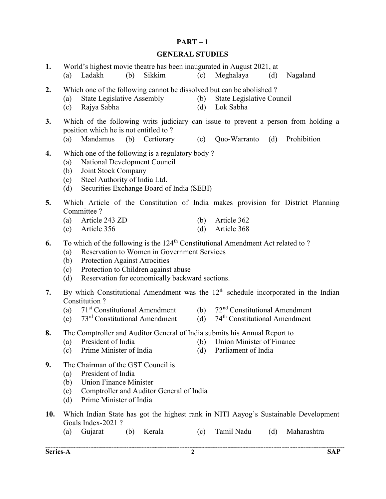### $PART-1$

#### GENERAL STUDIES

(a) Ladakh (b) Sikkim (c) Meghalaya (d) Nagaland

1. World's highest movie theatre has been inaugurated in August 2021, at<br>
(a) Ladakh (b) Sikkim (c) Meghalaya (d)

- 2. Which one of the following cannot be dissolved but can be abolished? (a) State Legislative Assembly (b) State Legislative Council (c) Rajya Sabha (d) Lok Sabha 3. Which of the following writs judiciary can issue to prevent a person from holding a position which he is not entitled to ? (a) Mandamus (b) Certiorary (c) Quo-Warranto (d) Prohibition 4. Which one of the following is a regulatory body ? (a) National Development Council (b) Joint Stock Company (c) Steel Authority of India Ltd. (d) Securities Exchange Board of India (SEBI) 5. Which Article of the Constitution of India makes provision for District Planning Committee ? (a) Article 243 ZD (b) Article 362 (c) Article 356 (d) Article 368 6. To which of the following is the  $124<sup>th</sup>$  Constitutional Amendment Act related to ? (a) Reservation to Women in Government Services (b) Protection Against Atrocities (c) Protection to Children against abuse (d) Reservation for economically backward sections. 7. By which Constitutional Amendment was the  $12<sup>th</sup>$  schedule incorporated in the Indian
	- Constitution ?
		- (a)  $71<sup>st</sup>$  Constitutional Amendment (b)  $72<sup>nd</sup>$  Constitutional Amendment
		- (c)  $73<sup>rd</sup>$  Constitutional Amendment (d)  $74<sup>th</sup>$  Constitutional Amendment
- 8. The Comptroller and Auditor General of India submits his Annual Report to
	- (a) President of India (b) Union Minister of Finance
	- (c) Prime Minister of India (d) Parliament of India
- 9. The Chairman of the GST Council is
	- (a) President of India
	- (b) Union Finance Minister
	- (c) Comptroller and Auditor General of India
	- (d) Prime Minister of India
- 10. Which Indian State has got the highest rank in NITI Aayog's Sustainable Development Goals Index-2021 ?
	- (a) Gujarat (b) Kerala (c) Tamil Nadu (d) Maharashtra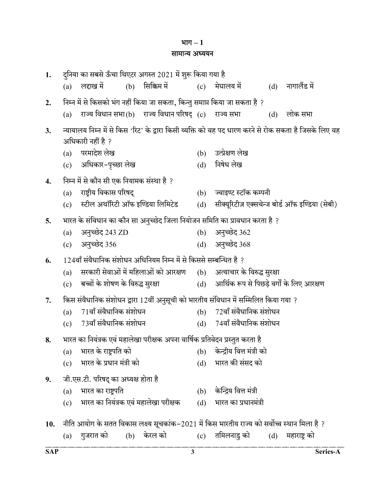### भाग $-1$

### सामान्य अध्ययन

| 1.  | दुनिया का सबसे ऊँचा थिएटर अगस्त 2021 में शुरू किया गया है                           |                                                                                                       |
|-----|-------------------------------------------------------------------------------------|-------------------------------------------------------------------------------------------------------|
|     | (b) सिक्किम में<br>लद्दाख में<br>(a)                                                | (c) मेघालय में<br>$(d)$ नागालैंड में                                                                  |
| 2.  | निम्न में से किसको भंग नहीं किया जा सकता, किन्तु समाप्त किया जा सकता है ?           |                                                                                                       |
|     | राज्य विधान सभा(b) राज्य विधान परिषद् (c) राज्य सभा<br>(a)                          | लोक सभा<br>(d)                                                                                        |
| 3.  |                                                                                     | न्यायालय निम्न में से किस 'रिट' के द्वारा किसी व्यक्ति को वह पद धारण करने से रोक सकता है जिसके लिए वह |
|     | अधिकारी नहीं है ?                                                                   |                                                                                                       |
|     | परमादेश लेख<br>(a)                                                                  | उत्प्रेक्षण लेख<br>(b)                                                                                |
|     | (c) अधिकार-पृच्छा लेख                                                               | निषेध लेख<br>(d)                                                                                      |
| 4.  | निम्न में से कौन सी एक नियामक संस्था है ?                                           |                                                                                                       |
|     | राष्ट्रीय विकास परिषद्<br>(a)                                                       | ज्वाइण्ट स्टॉक कम्पनी<br>(b)                                                                          |
|     | (c) स्टील अथॉरिटी ऑफ इण्डिया लिमिटेड                                                | सीक्यूरिटीज़ एक्सचेन्ज बोर्ड ऑफ इण्डिया (सेबी)<br>(d)                                                 |
| 5.  | भारत के संविधान का कौन सा अनुच्छेद जिला नियोजन समिति का प्रावधान करता है ?          |                                                                                                       |
|     | अनुच्छेद 243 ZD<br>(a)                                                              | अनुच्छेद 362<br>(b)                                                                                   |
|     | अनुच्छेद 356<br>(c)                                                                 | अनुच्छेद 368<br>(d)                                                                                   |
| 6.  | 124वाँ संवैधानिक संशोधन अधिनियम निम्न में से किससे सम्बन्धित है ?                   |                                                                                                       |
|     | सरकारी सेवाओं में महिलाओं को आरक्षण      (b)    अत्याचार के विरुद्ध सुरक्षा<br>(a)  |                                                                                                       |
|     | बच्चों के शोषण के विरुद्ध सुरक्षा<br>(c)                                            | (d) आर्थिक रूप से पिछड़े वर्गों के लिए आरक्षण                                                         |
| 7.  | किस संवैधानिक संशोधन द्वारा 12वीं अनुसूची को भारतीय संविधान में सम्मिलित किया गया ? |                                                                                                       |
|     | 71वाँ संवैधानिक संशोधन<br>(a)                                                       | $72$ वाँ संवैधानिक संशोधन<br>(b)                                                                      |
|     | 73वाँ संवैधानिक संशोधन<br>(c)                                                       | (d) 74वाँ संवैधानिक संशोधन                                                                            |
| 8.  | भारत का नियंत्रक एवं महालेखा परीक्षक अपना वार्षिक प्रतिवेदन प्रस्तुत करता है        |                                                                                                       |
|     | (a) भारत के राष्ट्रपति को                                                           | (b)     केन्द्रीय वित्त मंत्री को                                                                     |
|     | भारत के प्रधान मंत्री को<br>(c)                                                     | भारत की संसद को<br>(d)                                                                                |
| 9.  | जी.एस.टी. परिषद् का अध्यक्ष होता है                                                 |                                                                                                       |
|     | भारत का राष्ट्रपति<br>(a)                                                           | केन्द्रिय वित्त मंत्री<br>(b)                                                                         |
|     | भारत का नियंत्रक एवं महालेखा परीक्षक<br>(c)                                         | भारत का प्रधानमंत्री<br>(d)                                                                           |
|     |                                                                                     |                                                                                                       |
| 10. |                                                                                     | नीति आयोग के सतत विकास लक्ष्य सूचकांक–2021 में किस भारतीय राज्य को सर्वोच्च स्थान मिला है ?           |
|     | केरल को<br>गुजरात को<br>(b)<br>(a)                                                  | तमिलनाडु को<br>महाराष्ट्र को<br>(d)<br>(c)                                                            |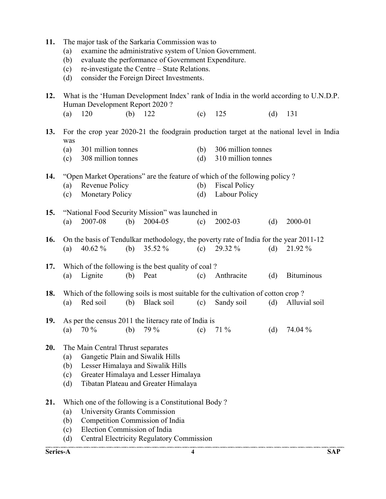|     | (a)<br>(b)<br>(c)<br>(d) |                                   |     | examine the administrative system of Union Government.<br>evaluate the performance of Government Expenditure.<br>re-investigate the Centre - State Relations.<br>consider the Foreign Direct Investments. |     |                                                                                       |     |                                                                                          |
|-----|--------------------------|-----------------------------------|-----|-----------------------------------------------------------------------------------------------------------------------------------------------------------------------------------------------------------|-----|---------------------------------------------------------------------------------------|-----|------------------------------------------------------------------------------------------|
| 12. |                          | Human Development Report 2020?    |     |                                                                                                                                                                                                           |     |                                                                                       |     | What is the 'Human Development Index' rank of India in the world according to U.N.D.P.   |
|     | (a)                      | 120                               | (b) | 122                                                                                                                                                                                                       | (c) | 125                                                                                   | (d) | 131                                                                                      |
| 13. | was                      |                                   |     |                                                                                                                                                                                                           |     |                                                                                       |     | For the crop year 2020-21 the foodgrain production target at the national level in India |
|     | (a)                      | 301 million tonnes                |     |                                                                                                                                                                                                           | (b) | 306 million tonnes                                                                    |     |                                                                                          |
|     | (c)                      | 308 million tonnes                |     |                                                                                                                                                                                                           | (d) | 310 million tonnes                                                                    |     |                                                                                          |
| 14. |                          |                                   |     |                                                                                                                                                                                                           |     | "Open Market Operations" are the feature of which of the following policy?            |     |                                                                                          |
|     | (a)                      | Revenue Policy                    |     |                                                                                                                                                                                                           | (b) | <b>Fiscal Policy</b>                                                                  |     |                                                                                          |
|     | (c)                      | <b>Monetary Policy</b>            |     |                                                                                                                                                                                                           | (d) | Labour Policy                                                                         |     |                                                                                          |
| 15. |                          |                                   |     | "National Food Security Mission" was launched in                                                                                                                                                          |     |                                                                                       |     |                                                                                          |
|     | (a)                      | 2007-08                           | (b) | 2004-05                                                                                                                                                                                                   | (c) | 2002-03                                                                               | (d) | 2000-01                                                                                  |
| 16. |                          |                                   |     |                                                                                                                                                                                                           |     | On the basis of Tendulkar methodology, the poverty rate of India for the year 2011-12 |     |                                                                                          |
|     | (a)                      | 40.62 $%$                         | (b) | 35.52 %                                                                                                                                                                                                   | (c) | 29.32 %                                                                               | (d) | 21.92 %                                                                                  |
| 17. |                          |                                   |     | Which of the following is the best quality of coal?                                                                                                                                                       |     |                                                                                       |     |                                                                                          |
|     | (a)                      | Lignite                           | (b) | Peat                                                                                                                                                                                                      | (c) | Anthracite                                                                            | (d) | <b>Bituminous</b>                                                                        |
| 18. |                          |                                   |     |                                                                                                                                                                                                           |     | Which of the following soils is most suitable for the cultivation of cotton crop?     |     |                                                                                          |
|     | (a)                      | Red soil                          | (b) | Black soil                                                                                                                                                                                                | (c) | Sandy soil                                                                            | (d) | Alluvial soil                                                                            |
| 19. |                          |                                   |     | As per the census 2011 the literacy rate of India is                                                                                                                                                      |     |                                                                                       |     |                                                                                          |
|     |                          |                                   |     | (a) $70\%$ (b) $79\%$ (c) $71\%$                                                                                                                                                                          |     |                                                                                       | (d) | 74.04 %                                                                                  |
| 20. |                          | The Main Central Thrust separates |     |                                                                                                                                                                                                           |     |                                                                                       |     |                                                                                          |
|     | (a)                      | Gangetic Plain and Siwalik Hills  |     |                                                                                                                                                                                                           |     |                                                                                       |     |                                                                                          |
|     | (b)                      |                                   |     | Lesser Himalaya and Siwalik Hills                                                                                                                                                                         |     |                                                                                       |     |                                                                                          |
|     | (c)<br>(d)               |                                   |     | Greater Himalaya and Lesser Himalaya<br>Tibatan Plateau and Greater Himalaya                                                                                                                              |     |                                                                                       |     |                                                                                          |
|     |                          |                                   |     |                                                                                                                                                                                                           |     |                                                                                       |     |                                                                                          |
| 21. |                          |                                   |     | Which one of the following is a Constitutional Body?                                                                                                                                                      |     |                                                                                       |     |                                                                                          |
|     | (a)                      | University Grants Commission      |     |                                                                                                                                                                                                           |     |                                                                                       |     |                                                                                          |
|     | (b)                      | Election Commission of India      |     | Competition Commission of India                                                                                                                                                                           |     |                                                                                       |     |                                                                                          |
|     | (c)<br>(d)               |                                   |     | <b>Central Electricity Regulatory Commission</b>                                                                                                                                                          |     |                                                                                       |     |                                                                                          |
|     |                          |                                   |     |                                                                                                                                                                                                           |     |                                                                                       |     |                                                                                          |

11. The major task of the Sarkaria Commission was to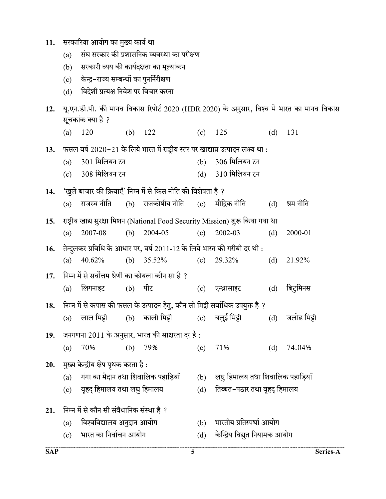| ंसरकारिया आयोग का मुख्य कार्य था | 11. |  |  |  |  |
|----------------------------------|-----|--|--|--|--|
|----------------------------------|-----|--|--|--|--|

- (a) संघ सरकार की प्रशासनिक व्यवस्था का परीक्षण
- (b) सरकारी व्यय की कार्यदक्षता का मूल्यांकन
- (c) केन्द्र-राज्य सम्बन्धों का पुनर्निरीक्षण
- (d) विदेशी प्रत्यक्ष निवेश पर विचार करना
- 12. यू.एन.डी.पी. की मानव विकास रिपोर्ट 2020 (HDR 2020) के अनुसार, विश्व में भारत का मानव विकास सूचकांक क्या है ?
	- (a) 120 (b) 122 (c) 125 (d) 131
- 13. फसल वर्ष 2020-21 के लिये भारत में राष्ट्रीय स्तर पर खाद्यान्न उत्पादन लक्ष्य था :
	- (a) 301 मिलियन टन (b) 306 मिलियन टन
	- (c) 308 मिलियन टन (d) 310 मिलियन टन

14. 'खुले बाजार की क्रियाएँ' निम्न में से किस नीति की विशेषता है ?

17. निम्न में से सर्वोत्तम श्रेणी का कोयला कौन सा है ?

- (a) राजस्व नीति (b) राजकोषीय नीति (c) मौद्रिक नीति (d) श्रम नीति
- 15. राष्ट्रीय खाद्य सुरक्षा मिशन (National Food Security Mission) शुरू किया गया था (a) 2007-08 (b) 2004-05 (c) 2002-03 (d) 2000-01
- 16. तेन्दुलकर प्रविधि के आधार पर, वर्ष 2011-12 के लिये भारत की गरीबी दर थी :
	- (a) 40.62% (b) 35.52% (c) 29.32% (d) 21.92%
- (a) लिगनाइट (b) पीट (c) एन्थ्रासाइट (d) बिटुमिनस
- 18. निम्न में से कपास की फसल के उत्पादन हेतु, कौन सी मिट्टी सर्वाधिक उपयुक्त है ?
	- (a) लाल मिट्टी (b) काली मिट्टी (c) बलुई मिट्टी (d) जलोढ़ मिट्टी
- 19. जनगणना  $2011$  के अनुसार, भारत की साक्षरता दर है:
- (a) 70% (b) 79% (c) 71% (d) 74.04%
- 20. मुख्य केन्द्रीय क्षेप पृथक करता है:
	- $(a)$  गंगा का मैदान तथा शिवालिक पहाड़ियाँ  $(b)$  लघु हिमालय तथा शिवालिक पहाड़ियाँ
	- (c) वृहद् हिमालय तथा लघु हिमालय (d) तिब्बत-पठार तथा वृहद् हिमालय

# 21. निम्न में से कौन सी संवैधानिक संस्था है ?

- (a) विश्वविद्यालय अनुदान आयोग (b) भारतीय प्रतिस्पर्धा आयोग
- (c) भारत का निर्वाचन आयोग (d) केन्द्रिय विद्युत नियामक आयोग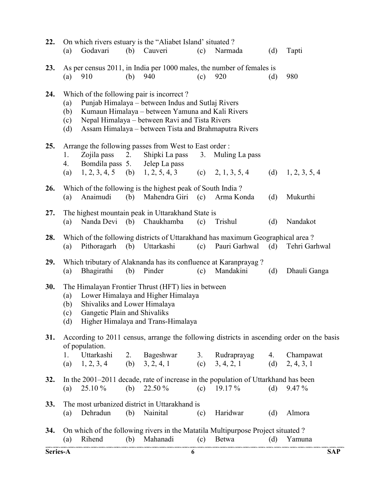| 22.      | (a)                      | Godavari                                                     |     | On which rivers estuary is the "Aliabet Island' situated?<br>(b) Cauveri                                                                                                                                                                                      | (c) | Narmada                                                                                             | (d)       | Tapti                                                                                     |
|----------|--------------------------|--------------------------------------------------------------|-----|---------------------------------------------------------------------------------------------------------------------------------------------------------------------------------------------------------------------------------------------------------------|-----|-----------------------------------------------------------------------------------------------------|-----------|-------------------------------------------------------------------------------------------|
| 23.      | (a)                      | 910                                                          | (b) | 940                                                                                                                                                                                                                                                           | (c) | As per census 2011, in India per 1000 males, the number of females is<br>920                        | (d)       | 980                                                                                       |
| 24.      | (a)<br>(b)<br>(c)<br>(d) |                                                              |     | Which of the following pair is incorrect?<br>Punjab Himalaya – between Indus and Sutlaj Rivers<br>Kumaun Himalaya – between Yamuna and Kali Rivers<br>Nepal Himalaya – between Ravi and Tista Rivers<br>Assam Himalaya – between Tista and Brahmaputra Rivers |     |                                                                                                     |           |                                                                                           |
| 25.      | 1.<br>4.<br>(a)          | Zojila pass<br>Bomdila pass 5.                               | 2.  | Arrange the following passes from West to East order:<br>Shipki La pass<br>Jelep La pass<br>$1, 2, 3, 4, 5$ (b) $1, 2, 5, 4, 3$                                                                                                                               | 3.  | Muling La pass<br>(c) $2, 1, 3, 5, 4$                                                               | (d)       | 1, 2, 3, 5, 4                                                                             |
| 26.      | (a)                      | Anaimudi                                                     | (b) | Which of the following is the highest peak of South India?<br>Mahendra Giri                                                                                                                                                                                   | (c) | Arma Konda                                                                                          | (d)       | Mukurthi                                                                                  |
| 27.      | (a)                      |                                                              |     | The highest mountain peak in Uttarakhand State is<br>Nanda Devi (b) Chaukhamba                                                                                                                                                                                | (c) | Trishul                                                                                             | (d)       | Nandakot                                                                                  |
| 28.      | (a)                      | Pithoragarh                                                  | (b) | Uttarkashi                                                                                                                                                                                                                                                    | (c) | Which of the following districts of Uttarakhand has maximum Geographical area?<br>Pauri Garhwal     | (d)       | Tehri Garhwal                                                                             |
| 29.      | (a)                      | Bhagirathi                                                   | (b) | Which tributary of Alaknanda has its confluence at Karanprayag?<br>Pinder                                                                                                                                                                                     | (c) | Mandakini                                                                                           | (d)       | Dhauli Ganga                                                                              |
| 30.      | (a)<br>(b)<br>(c)<br>(d) | Shivaliks and Lower Himalaya<br>Gangetic Plain and Shivaliks |     | The Himalayan Frontier Thrust (HFT) lies in between<br>Lower Himalaya and Higher Himalaya<br>Higher Himalaya and Trans-Himalaya                                                                                                                               |     |                                                                                                     |           |                                                                                           |
| 31.      |                          | of population.                                               |     |                                                                                                                                                                                                                                                               |     |                                                                                                     |           | According to 2011 census, arrange the following districts in ascending order on the basis |
|          | 1.<br>(a)                | Uttarkashi<br>$1, 2, 3, 4$ (b) $3, 2, 4, 1$                  |     | 2. Bageshwar                                                                                                                                                                                                                                                  |     | 3. Rudraprayag<br>(c) $3, 4, 2, 1$                                                                  | 4.<br>(d) | Champawat<br>2, 4, 3, 1                                                                   |
| 32.      | (a)                      | 25.10 %                                                      | (b) | 22.50 %                                                                                                                                                                                                                                                       |     | In the 2001-2011 decade, rate of increase in the population of Uttarkhand has been<br>(c) $19.17\%$ | (d)       | $9.47\%$                                                                                  |
| 33.      | (a)                      | Dehradun                                                     | (b) | The most urbanized district in Uttarakhand is<br>Nainital                                                                                                                                                                                                     | (c) | Haridwar                                                                                            | (d)       | Almora                                                                                    |
| 34.      | (a)                      | Rihend                                                       | (b) | Mahanadi                                                                                                                                                                                                                                                      |     | On which of the following rivers in the Matatila Multipurpose Project situated ?<br>(c) Betwa       | (d)       | Yamuna                                                                                    |
| Series-A |                          |                                                              |     | 6                                                                                                                                                                                                                                                             |     |                                                                                                     |           | <b>SAP</b>                                                                                |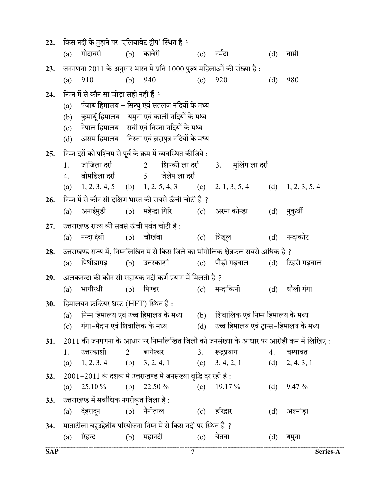| 22. |     | किस नदी के मुहाने पर 'एलियाबेट द्वीप' स्थित है ?                               |     |                  |                      |     |                                                                                                 |     |                  |
|-----|-----|--------------------------------------------------------------------------------|-----|------------------|----------------------|-----|-------------------------------------------------------------------------------------------------|-----|------------------|
|     | (a) | गोदावरी                                                                        |     | (b) कावेरी       |                      | (c) | नर्मदा                                                                                          | (d) | ताप्ती           |
| 23. |     |                                                                                |     |                  |                      |     | जनगणना 2011 के अनुसार भारत में प्रति 1000 पुरुष महिलाओं की संख्या है :                          |     |                  |
|     | (a) | 910                                                                            | (b) | 940              |                      | (c) | 920                                                                                             | (d) | 980              |
| 24. |     | निम्न में से कौन सा जोड़ा सही नहीं हैं ?                                       |     |                  |                      |     |                                                                                                 |     |                  |
|     | (a) | पंजाब हिमालय – सिन्धु एवं सतलज नदियों के मध्य                                  |     |                  |                      |     |                                                                                                 |     |                  |
|     |     | (b) कुमायूँ हिमालय – यमुना एवं काली नदियों के मध्य                             |     |                  |                      |     |                                                                                                 |     |                  |
|     | (c) | नेपाल हिमालय – रावी एवं तिस्ता नदियों के मध्य                                  |     |                  |                      |     |                                                                                                 |     |                  |
|     | (d) | असम हिमालय – तिस्ता एवं ब्रह्मपुत्र नदियों के मध्य                             |     |                  |                      |     |                                                                                                 |     |                  |
| 25. |     | निम्न दर्रों को पश्चिम से पूर्व के क्रम में व्यवस्थित कीजिये :                 |     |                  |                      |     |                                                                                                 |     |                  |
|     | 1.  |                                                                                |     |                  |                      |     | जोजिला दर्रा वर्ग 2. शिपकी ला दर्रा 3. मुलिंग ला दर्रा                                          |     |                  |
|     | 4.  |                                                                                |     |                  |                      |     |                                                                                                 |     |                  |
|     |     |                                                                                |     |                  |                      |     | (a) $1, 2, 3, 4, 5$ (b) $1, 2, 5, 4, 3$ (c) $2, 1, 3, 5, 4$ (d) $1, 2, 3, 5, 4$                 |     |                  |
| 26. |     | निम्न में से कौन सी दक्षिण भारत की सबसे ऊँची चोटी है ?                         |     |                  |                      |     | (a) अनाईमुडी    (b) महेन्द्रा गिरि        (c)   अरमा कोन्ड़ा                                    | (d) |                  |
|     |     |                                                                                |     |                  |                      |     |                                                                                                 |     | मुकुर्थी         |
| 27. |     | उत्तराखण्ड राज्य की सबसे ऊँची पर्वत चोटी है :                                  |     |                  |                      |     |                                                                                                 |     |                  |
|     | (a) | नन्दा देवी                                                                     |     | (b) चौखँबा       |                      | (c) | त्रिशूल                                                                                         |     | (d) नन्दाकोट     |
|     |     |                                                                                |     |                  |                      |     |                                                                                                 |     |                  |
| 28. |     |                                                                                |     |                  |                      |     | उत्तराखण्ड राज्य में, निम्नलिखित में से किस जिले का भौगोलिक क्षेत्रफल सबसे अधिक है ?            |     |                  |
|     | (a) |                                                                                |     |                  |                      |     | पिथौड़ागढ़  (b) उत्तरकाशी  (c) पौड़ी गढ़वाल  (d) टिहरी गढ़वाल                                   |     |                  |
| 29. |     | अलकनन्दा की कौन सी सहायक नदी कर्ण प्रयाग में मिलती है ?                        |     |                  |                      |     |                                                                                                 |     |                  |
|     | (a) | भागीरथी                                                                        |     | (b) पिण्डर       |                      |     | (c) मन्दाकिनी                                                                                   | (d) | धौली गंगा        |
| 30. |     | हिमालयन फ्रन्टियर थ्रस्ट (HFT) स्थित है :                                      |     |                  |                      |     |                                                                                                 |     |                  |
|     | (a) | निम्न हिमालय एवं उच्च हिमालय के मध्य                                           |     |                  |                      |     | (b) शिवालिक एवं निम्न हिमालय के मध्य                                                            |     |                  |
|     |     |                                                                                |     |                  |                      |     | (c) गंगा-मैदान एवं शिवालिक के मध्य               (d)     उच्च हिमालय एवं ट्रान्स-हिमालय के मध्य |     |                  |
| 31. |     |                                                                                |     |                  |                      |     | $2011$ की जनगणना के आधार पर निम्नलिखित जिलों को जनसंख्या के आधार पर आरोही क्रम में लिखिए :      |     |                  |
|     | 1.  | उत्तरकाशी 2. बागेश्वर   3.                                                     |     |                  |                      |     | रूद्रप्रयाग                                                                                     | 4.  | चम्पावत          |
|     | (a) | 1, 2, 3, 4                                                                     |     | (b) $3, 2, 4, 1$ |                      |     | (c) $3, 4, 2, 1$                                                                                |     | (d) $2, 4, 3, 1$ |
| 32. |     | $2001 - 2011$ के दशक में उत्तराखण्ड में जनसंख्या वृद्धि दर रही है :            |     |                  |                      |     |                                                                                                 |     |                  |
|     | (a) | 25.10 %                                                                        |     | (b) $22.50\%$    | (c)                  |     | 19.17 %                                                                                         |     | (d) $9.47\%$     |
| 33. |     | उत्तराखण्ड में सर्वाधिक नगरीकृत जिला है :                                      |     |                  |                      |     |                                                                                                 |     |                  |
|     |     | (a) देहरादून                                                                   |     | (b) नैनीताल      |                      |     | (c) हरिद्वार                                                                                    | (d) | अल्मोड़ा         |
| 34. |     | माताटीला बहुउद्देशीय परियोजना निम्न में से किस नदी पर स्थित है ?<br>(a) रिहन्द |     |                  | (b) महानदी (c) बेतवा |     |                                                                                                 | (d) | यमुना            |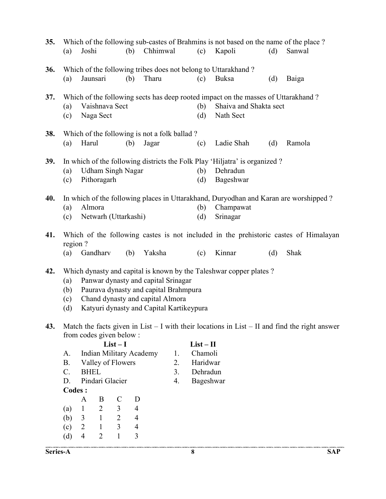| 35. | (a)                                                                                                                                                                                                                                                            | Joshi             |                             | (b)                                 | Chhimwal                                              |          | (c)                  | Which of the following sub-castes of Brahmins is not based on the name of the place?<br>Kapoli                           | (d) | Sanwal                                                                                            |
|-----|----------------------------------------------------------------------------------------------------------------------------------------------------------------------------------------------------------------------------------------------------------------|-------------------|-----------------------------|-------------------------------------|-------------------------------------------------------|----------|----------------------|--------------------------------------------------------------------------------------------------------------------------|-----|---------------------------------------------------------------------------------------------------|
| 36. | (a)                                                                                                                                                                                                                                                            | Jaunsari          |                             | (b)                                 | Tharu                                                 |          | (c)                  | Which of the following tribes does not belong to Uttarakhand?<br>Buksa                                                   | (d) | Baiga                                                                                             |
| 37. | (a)<br>(c)                                                                                                                                                                                                                                                     |                   | Vaishnava Sect<br>Naga Sect |                                     |                                                       |          | (b)<br>(d)           | Which of the following sects has deep rooted impact on the masses of Uttarakhand?<br>Shaiva and Shakta sect<br>Nath Sect |     |                                                                                                   |
| 38. | (a)                                                                                                                                                                                                                                                            | Harul             |                             | (b)                                 | Which of the following is not a folk ballad?<br>Jagar |          | (c)                  | Ladie Shah                                                                                                               | (d) | Ramola                                                                                            |
| 39. | In which of the following districts the Folk Play 'Hiljatra' is organized ?<br><b>Udham Singh Nagar</b><br>(a)<br>Pithoragarh<br>(c)                                                                                                                           |                   |                             |                                     |                                                       |          | (b)<br>(d)           | Dehradun<br>Bageshwar                                                                                                    |     |                                                                                                   |
| 40. | In which of the following places in Uttarakhand, Duryodhan and Karan are worshipped?<br>Almora<br>(a)<br>Netwarh (Uttarkashi)<br>(c)                                                                                                                           |                   |                             |                                     |                                                       |          | (b)<br>(d)           | Champawat<br>Srinagar                                                                                                    |     |                                                                                                   |
| 41. | region?                                                                                                                                                                                                                                                        |                   |                             |                                     |                                                       |          |                      |                                                                                                                          |     | Which of the following castes is not included in the prehistoric castes of Himalayan              |
|     | (a)                                                                                                                                                                                                                                                            |                   | Gandharv                    | (b)                                 | Yaksha                                                |          | (c)                  | Kinnar                                                                                                                   | (d) | Shak                                                                                              |
| 42. | Which dynasty and capital is known by the Taleshwar copper plates?<br>Panwar dynasty and capital Srinagar<br>(a)<br>Paurava dynasty and capital Brahmpura<br>(b)<br>Chand dynasty and capital Almora<br>(c)<br>Katyuri dynasty and Capital Kartikeypura<br>(d) |                   |                             |                                     |                                                       |          |                      |                                                                                                                          |     |                                                                                                   |
| 43. |                                                                                                                                                                                                                                                                |                   | from codes given below:     |                                     |                                                       |          |                      |                                                                                                                          |     | Match the facts given in List $-$ I with their locations in List $-$ II and find the right answer |
|     |                                                                                                                                                                                                                                                                |                   | $List-I$                    |                                     |                                                       |          | $List-II$            |                                                                                                                          |     |                                                                                                   |
|     | A.                                                                                                                                                                                                                                                             |                   |                             |                                     | Indian Military Academy                               | 1.       | Chamoli              |                                                                                                                          |     |                                                                                                   |
|     | <b>B.</b><br>$C$ .                                                                                                                                                                                                                                             | <b>BHEL</b>       | Valley of Flowers           |                                     |                                                       | 2.<br>3. | Haridwar<br>Dehradun |                                                                                                                          |     |                                                                                                   |
|     | D.                                                                                                                                                                                                                                                             |                   | Pindari Glacier             |                                     |                                                       | 4.       | Bageshwar            |                                                                                                                          |     |                                                                                                   |
|     | <b>Codes:</b>                                                                                                                                                                                                                                                  |                   |                             |                                     |                                                       |          |                      |                                                                                                                          |     |                                                                                                   |
|     |                                                                                                                                                                                                                                                                | A<br>$\mathbf{1}$ | B<br>$\overline{2}$         | $\mathsf{C}$<br>3<br>$\overline{4}$ | D                                                     |          |                      |                                                                                                                          |     |                                                                                                   |
|     | (a)<br>(b)                                                                                                                                                                                                                                                     | 3                 | $\mathbf{1}$                | $\overline{2}$<br>$\overline{4}$    |                                                       |          |                      |                                                                                                                          |     |                                                                                                   |
|     | (c)                                                                                                                                                                                                                                                            | $\overline{2}$    | $\mathbf{1}$                | $\overline{3}$<br>$\overline{4}$    |                                                       |          |                      |                                                                                                                          |     |                                                                                                   |
|     | (d)                                                                                                                                                                                                                                                            | $\overline{4}$    | $\overline{2}$              | 3<br>$\mathbf{1}$                   |                                                       |          |                      |                                                                                                                          |     |                                                                                                   |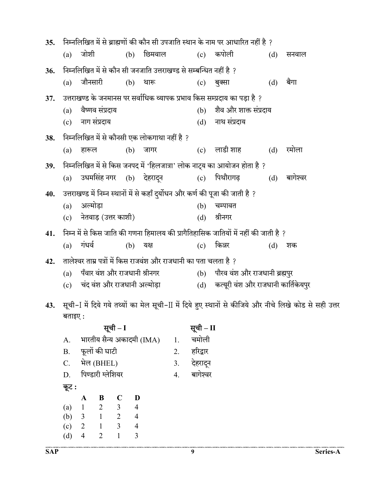| 35. |     | निम्नलिखित में से ब्राह्मणों की कौन सी उपजाति स्थान के नाम पर आधारित नहीं है ? |          |                                                                                     |     |                                         |     |          |  |  |
|-----|-----|--------------------------------------------------------------------------------|----------|-------------------------------------------------------------------------------------|-----|-----------------------------------------|-----|----------|--|--|
|     | (a) | जोशी                                                                           |          | (b) छिमवाल                                                                          |     | (c) कपोली                               | (d) | सनवाल    |  |  |
| 36. |     |                                                                                |          | निम्नलिखित में से कौन सी जनजाति उत्तराखण्ड से सम्बन्धित नहीं है ?                   |     |                                         |     |          |  |  |
|     | (a) | जौनसारी                                                                        |          | (b) थारू                                                                            | (c) | बुक्सा                                  | (d) | बैगा     |  |  |
| 37. |     |                                                                                |          | उत्तराखण्ड के जनमानस पर सर्वाधिक व्यापक प्रभाव किस सम्प्रदाय का पड़ा है ?           |     |                                         |     |          |  |  |
|     | (a) | वैष्णव संप्रदाय                                                                |          |                                                                                     | (b) | शैव और शाक्त संप्रदाय                   |     |          |  |  |
|     |     | (c) नाग संप्रदाय                                                               |          |                                                                                     |     | (d) नाथ संप्रदाय                        |     |          |  |  |
| 38. |     |                                                                                |          | निम्नलिखित में से कौनसी एक लोकगाथा नहीं है ?                                        |     |                                         |     |          |  |  |
|     | (a) | हारूल                                                                          | (b)      | जागर                                                                                |     | (c) लाडी शाह                            | (d) | रमोला    |  |  |
| 39. |     |                                                                                |          | निम्नलिखित में से किस जनपद में 'हिलजात्रा' लोक नाट्य का आयोजन होता है ?             |     |                                         |     |          |  |  |
|     |     |                                                                                |          | (a) उधमसिंह नगर (b) देहरादून     (c) पिथौरागढ़                                      |     |                                         | (d) | बागेश्वर |  |  |
| 40. |     |                                                                                |          | उत्तराखण्ड में निम्न स्थानों में से कहाँ दुर्योधन और कर्ण की पूजा की जाती है ?      |     |                                         |     |          |  |  |
|     |     | (a) अल्मोड़ा                                                                   |          |                                                                                     | (b) | चम्पावत                                 |     |          |  |  |
|     |     | (c) नेतवाड़ (उत्तर काशी)                                                       |          |                                                                                     | (d) | श्रीनगर                                 |     |          |  |  |
| 41. |     |                                                                                |          | निम्न में से किस जाति की गणना हिमालय की प्रागैतिहासिक जातियों में नहीं की जाती है ? |     |                                         |     |          |  |  |
|     | (a) | गंधर्व                                                                         | (b) यक्ष |                                                                                     |     | $(c)$ किन्नर                            | (d) | शक       |  |  |
| 42. |     |                                                                                |          | तालेश्वर ताम्र पत्रों में किस राजवंश और राजधानी का पता चलता है ?                    |     |                                         |     |          |  |  |
|     |     | (a) पँवार वंश और राजधानी श्रीनगर                                               |          |                                                                                     |     | (b) पौरव वंश और राजधानी ब्रह्मपुर       |     |          |  |  |
|     |     | (c) चंद वंश और राजधानी अल्मोड़ा                                                |          |                                                                                     |     | (d) कत्यूरी वंश और राजधानी कार्तिकेयपुर |     |          |  |  |
|     |     |                                                                                |          | $\sim$ $\sim$ $\sim$ $\sim$ $\sim$ $\sim$ $\sim$ $\sim$                             |     |                                         |     |          |  |  |

43. सूची-I में दिये गये तथ्यों का मेल सूची-II में दिये हुए स्थानों से कीजिये और नीचे लिखे कोड से सही उत्तर बताइए :

|           |                |                   | सूची – I       |                           |    | सूची – II |
|-----------|----------------|-------------------|----------------|---------------------------|----|-----------|
| A.        |                |                   |                | भारतीय सैन्य अकादमी (IMA) | 1. | चमोली     |
| <b>B.</b> |                | फूलों की घाटी     |                |                           | 2. | हरिद्वार  |
| $C$ .     |                | भेल (BHEL)        |                |                           | 3. | देहरादून  |
| D.        |                | पिण्डारी ग्लेशियर |                |                           | 4. | बागेश्वर  |
|           |                |                   |                |                           |    |           |
| कूट :     |                |                   |                |                           |    |           |
|           | A              | B                 | C              | D                         |    |           |
| (a)       | $\mathbf{1}$   | $2 \t 3$          |                | $\overline{4}$            |    |           |
| (b)       | $\overline{3}$ | $\mathbf{1}$      | $\overline{2}$ | $\overline{4}$            |    |           |
| (c)       | 2              |                   | 3              | $\overline{4}$            |    |           |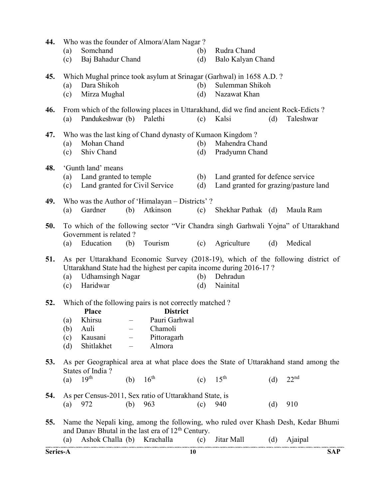| 44.      | (a)               | Who was the founder of Almora/Alam Nagar?<br>Somchand                                                                 |                                |                                                                      | (b)        | Rudra Chand                                                                                            |     |                                                                                               |
|----------|-------------------|-----------------------------------------------------------------------------------------------------------------------|--------------------------------|----------------------------------------------------------------------|------------|--------------------------------------------------------------------------------------------------------|-----|-----------------------------------------------------------------------------------------------|
|          | (c)               | Baj Bahadur Chand                                                                                                     |                                |                                                                      | (d)        | Balo Kalyan Chand                                                                                      |     |                                                                                               |
| 45.      | (a)<br>(c)        | Dara Shikoh<br>Mirza Mughal                                                                                           |                                |                                                                      | (b)<br>(d) | Which Mughal prince took asylum at Srinagar (Garhwal) in 1658 A.D.?<br>Sulemman Shikoh<br>Nazawat Khan |     |                                                                                               |
| 46.      | (a)               | Pandukeshwar (b) Palethi                                                                                              |                                |                                                                      | (c)        | From which of the following places in Uttarakhand, did we find ancient Rock-Edicts?<br>Kalsi           | (d) | Taleshwar                                                                                     |
| 47.      | (a)<br>(c)        | Mohan Chand<br>Shiv Chand                                                                                             |                                |                                                                      | (b)<br>(d) | Who was the last king of Chand dynasty of Kumaon Kingdom?<br>Mahendra Chand<br>Pradyumn Chand          |     |                                                                                               |
| 48.      | (a)<br>(c)        | 'Gunth land' means<br>Land granted to temple<br>Land granted for Civil Service                                        |                                |                                                                      | (b)<br>(d) | Land granted for defence service<br>Land granted for grazing/pasture land                              |     |                                                                                               |
| 49.      | (a)               | Who was the Author of 'Himalayan – Districts'?<br>Gardner                                                             | (b)                            | Atkinson                                                             | (c)        | Shekhar Pathak (d)                                                                                     |     | Maula Ram                                                                                     |
| 50.      | (a)               | Government is related?<br>Education                                                                                   | (b)                            | Tourism                                                              | (c)        | Agriculture                                                                                            | (d) | To which of the following sector "Vir Chandra singh Garhwali Yojna" of Uttarakhand<br>Medical |
| 51.      | (a)<br>(c)        | <b>Udhamsingh Nagar</b><br>Haridwar                                                                                   |                                |                                                                      | (b)<br>(d) | Uttarakhand State had the highest per capita income during 2016-17?<br>Dehradun<br>Nainital            |     | As per Uttarakhand Economic Survey (2018-19), which of the following district of              |
| 52.      | (b)<br>(c)<br>(d) | Which of the following pairs is not correctly matched?<br><b>Place</b><br>(a) Khirsu<br>Auli<br>Kausani<br>Shitlakhet | $\qquad \qquad \longleftarrow$ | <b>District</b><br>Pauri Garhwal<br>Chamoli<br>Pittoragarh<br>Almora |            |                                                                                                        |     |                                                                                               |
| 53.      |                   | States of India?                                                                                                      |                                |                                                                      |            |                                                                                                        |     | As per Geographical area at what place does the State of Uttarakhand stand among the          |
|          | (a)               | 19 <sup>th</sup>                                                                                                      | (b)                            | $16^{\text{th}}$                                                     | (c)        | $15^{\text{th}}$                                                                                       | (d) | 22 <sup>nd</sup>                                                                              |
| 54.      | (a)               | As per Census-2011, Sex ratio of Uttarakhand State, is<br>972                                                         | (b)                            | 963                                                                  | (c)        | 940                                                                                                    | (d) | 910                                                                                           |
| 55.      |                   | and Danav Bhutal in the last era of 12 <sup>th</sup> Century.                                                         |                                |                                                                      |            |                                                                                                        |     | Name the Nepali king, among the following, who ruled over Khash Desh, Kedar Bhumi             |
|          | (a)               | Ashok Challa (b)                                                                                                      |                                | Krachalla                                                            | (c)        | Jitar Mall                                                                                             | (d) | Ajaipal                                                                                       |
| Series-A |                   |                                                                                                                       |                                |                                                                      | 10         |                                                                                                        |     | <b>SAP</b>                                                                                    |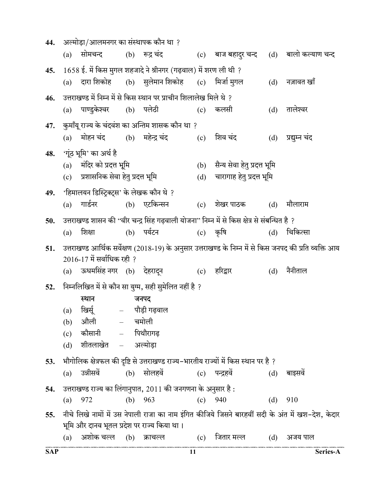| 44.        |     | अल्मोड़ा/आलमनगर का संस्थापक कौन था ?        |                                                                        |     |                                                                                                |     |                                                                                                         |
|------------|-----|---------------------------------------------|------------------------------------------------------------------------|-----|------------------------------------------------------------------------------------------------|-----|---------------------------------------------------------------------------------------------------------|
|            | (a) | सोमचन्द                                     | (b) रूद्र चंद                                                          |     | (c) वाज बहादुर चन्द                                                                            |     | (d) बालो कल्याण चन्द                                                                                    |
| 45.        |     |                                             | 1658 ई. में किस मुगल शहजादे ने श्रीनगर (गढ़वाल) में शरण ली थी ?        |     |                                                                                                |     |                                                                                                         |
|            | (a) |                                             | दारा शिकोह       (b)     सुलेमान शिकोह       (c)     मिर्जा मुगल       |     |                                                                                                | (d) | नज़ावत खाँ                                                                                              |
| 46.        |     |                                             | उत्तराखण्ड में निम्न में से किस स्थान पर प्राचीन शिलालेख मिले थे ?     |     |                                                                                                |     |                                                                                                         |
|            | (a) | पाण्डुकेश्वर (b) पलेठी                      |                                                                        | (c) | कलसी                                                                                           | (d) | तालेश्वर                                                                                                |
| 47.        |     |                                             | कुमाँयू राज्य के चंदवंश का अन्तिम शासक कौन था ?                        |     |                                                                                                |     |                                                                                                         |
|            |     |                                             | (a) मोहन चंद        (b)    महेन्द्र चंद                (c)     शिव चंद |     |                                                                                                | (d) | प्रद्युम्न चंद                                                                                          |
| 48.        |     | 'गूंठ भूमि' का अर्थ है                      |                                                                        |     |                                                                                                |     |                                                                                                         |
|            |     | (a) मंदिर को प्रदत्त भूमि                   |                                                                        |     | (b) सैन्य सेवा हेतु प्रदत्त भूमि                                                               |     |                                                                                                         |
|            |     | (c) प्रशासनिक सेवा हेतु प्रदत्त भूमि        |                                                                        |     | (d) चारागाह हेतु प्रदत्त भूमि                                                                  |     |                                                                                                         |
| 49.        |     | 'हिमालयन डिस्ट्रिक्ट्स' के लेखक कौन थे ?    |                                                                        |     |                                                                                                |     |                                                                                                         |
|            | (a) | गार्डनर                                     | (b) एटकिन्सन                                                           | (c) | शेखर पाठक            (d)                                                                       |     | मौलाराम                                                                                                 |
| 50.        |     |                                             |                                                                        |     | उत्तराखण्ड शासन की ''वीर चन्द्र सिंह गढ़वाली योजना'' निम्न में से किस क्षेत्र से संबन्धित है ? |     |                                                                                                         |
|            | (a) | शिक्षा                                      | (b) पर्यटन                                                             |     | $(c)$ कृषि                                                                                     | (d) | चिकित्सा                                                                                                |
| 51.        |     |                                             |                                                                        |     |                                                                                                |     | उत्तराखण्ड आर्थिक सर्वेक्षण (2018-19) के अनुसार उत्तराखण्ड के निम्न में से किस जनपद की प्रति व्यक्ति आय |
|            |     | $2016$ -17 में सर्वाधिक रही ?               |                                                                        |     |                                                                                                |     |                                                                                                         |
|            |     |                                             | (a) ऊधमसिंह नगर (b) देहरादून         (c) हरिद्वार                      |     |                                                                                                | (d) | नैनीताल                                                                                                 |
| 52.        |     |                                             | निम्नलिखित में से कौन सा युग्म, सही सुमेलित नहीं है ?                  |     |                                                                                                |     |                                                                                                         |
|            |     | स्थान                                       | जनपद                                                                   |     |                                                                                                |     |                                                                                                         |
|            | (a) | खिर्सू – पौड़ी गढ़वाल                       |                                                                        |     |                                                                                                |     |                                                                                                         |
|            |     | $(b)$ औली $-$ चमोली                         |                                                                        |     |                                                                                                |     |                                                                                                         |
|            | (c) | कौसानी                                      | – पिथौरागढ़                                                            |     |                                                                                                |     |                                                                                                         |
|            | (d) | शीतलाखेत – अल्मोडा                          |                                                                        |     |                                                                                                |     |                                                                                                         |
| 53.        |     |                                             |                                                                        |     | भौगोलिक क्षेत्रफल की दृष्टि से उत्तराखण्ड राज्य–भारतीय राज्यों में किस स्थान पर है ?           |     |                                                                                                         |
|            |     | (a) उन्नीसवें                               | (b) सोलहवें                                                            |     | (c) पन्द्रहवें                                                                                 | (d) | बाइसवे                                                                                                  |
| 54.        |     |                                             | उत्तराखण्ड राज्य का लिंगानुपात, 2011 की जनगणना के अनुसार है :          |     |                                                                                                |     |                                                                                                         |
|            | (a) | 972                                         | (b) $963$                                                              |     | $(c)$ 940                                                                                      | (d) | 910                                                                                                     |
| 55.        |     |                                             |                                                                        |     |                                                                                                |     | नीचे लिखे नामों में उस नेपाली राजा का नाम इंगित कीजिये जिसने बारहवीं सदी के अंत में खश–देश, केदार       |
|            |     | भूमि और दानव भूतल प्रदेश पर राज्य किया था । |                                                                        |     |                                                                                                |     |                                                                                                         |
|            | (a) |                                             | अशोक चल्ल (b) क्राचल्ल     (c)                                         |     | जितार मल्ल                                                                                     | (d) | अजय पाल                                                                                                 |
| <b>SAP</b> |     |                                             |                                                                        | 11  |                                                                                                |     | Series-A                                                                                                |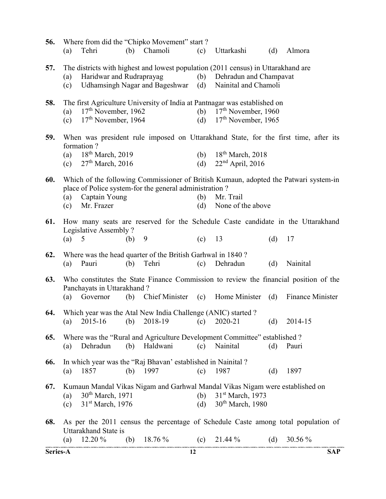| Series-A |            |                                                                  |     |                                                                     | 12         |                                                                                                                                                 |     |                  | <b>SAP</b> |
|----------|------------|------------------------------------------------------------------|-----|---------------------------------------------------------------------|------------|-------------------------------------------------------------------------------------------------------------------------------------------------|-----|------------------|------------|
| 68.      | (a)        | Uttarakhand State is<br>12.20 %                                  | (b) | 18.76 %                                                             | (c)        | As per the 2011 census the percentage of Schedule Caste among total population of<br>21.44 %                                                    | (d) | 30.56 %          |            |
| 67.      | (a)<br>(c) | 30 <sup>th</sup> March, 1971<br>31 <sup>st</sup> March, 1976     |     |                                                                     | (b)<br>(d) | Kumaun Mandal Vikas Nigam and Garhwal Mandal Vikas Nigam were established on<br>31 <sup>st</sup> March, 1973<br>30 <sup>th</sup> March, 1980    |     |                  |            |
| 66.      | (a)        | 1857                                                             | (b) | In which year was the "Raj Bhavan' established in Nainital?<br>1997 | (c)        | 1987                                                                                                                                            | (d) | 1897             |            |
| 65.      | (a)        | Dehradun                                                         | (b) | Haldwani                                                            | (c)        | Where was the "Rural and Agriculture Development Committee" established ?<br>Nainital                                                           | (d) | Pauri            |            |
| 64.      |            |                                                                  |     | Which year was the Atal New India Challenge (ANIC) started ?        |            | (a) $2015-16$ (b) $2018-19$ (c) $2020-21$                                                                                                       |     | (d) $2014-15$    |            |
| 63.      | (a)        | Panchayats in Uttarakhand?<br>Governor                           | (b) |                                                                     |            | Who constitutes the State Finance Commission to review the financial position of the<br>Chief Minister (c) Home Minister (d)                    |     | Finance Minister |            |
| 62.      | (a)        | Pauri                                                            | (b) | Where was the head quarter of the British Garhwal in 1840?<br>Tehri | (c)        | Dehradun                                                                                                                                        | (d) | Nainital         |            |
| 61.      | (a)        | Legislative Assembly?<br>5                                       | (b) | 9                                                                   | (c)        | How many seats are reserved for the Schedule Caste candidate in the Uttarakhand<br>13                                                           | (d) | 17               |            |
|          | (a)<br>(c) | Captain Young<br>Mr. Frazer                                      |     | place of Police system-for the general administration?              | (b)<br>(d) | Mr. Trail<br>None of the above                                                                                                                  |     |                  |            |
| 60.      |            |                                                                  |     |                                                                     |            | Which of the following Commissioner of British Kumaun, adopted the Patwari system-in                                                            |     |                  |            |
|          | (a)<br>(c) | formation?<br>18 <sup>th</sup> March, 2019<br>$27th$ March, 2016 |     |                                                                     | (b)<br>(d) | 18 <sup>th</sup> March, 2018<br>$22nd$ April, 2016                                                                                              |     |                  |            |
| 59.      |            |                                                                  |     |                                                                     |            | When was president rule imposed on Uttarakhand State, for the first time, after its                                                             |     |                  |            |
| 58.      | (a)<br>(c) | $17th$ November, 1962<br>$17th$ November, 1964                   |     |                                                                     | (b)<br>(d) | The first Agriculture University of India at Pantnagar was established on<br>17 <sup>th</sup> November, 1960<br>17 <sup>th</sup> November, 1965 |     |                  |            |
| 57.      | (a)<br>(c) | Haridwar and Rudraprayag                                         |     | <b>Udhamsingh Nagar and Bageshwar</b>                               | (b)<br>(d) | The districts with highest and lowest population (2011 census) in Uttarakhand are<br>Dehradun and Champavat<br>Nainital and Chamoli             |     |                  |            |
| 56.      | (a)        | Tehri                                                            |     | Where from did the "Chipko Movement" start?<br>(b) Chamoli          | (c)        | Uttarkashi                                                                                                                                      | (d) | Almora           |            |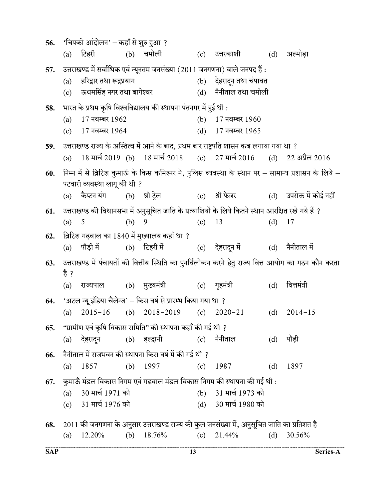| 56. |      | 'चिपको आंदोलन' – कहाँ से शुरु हुआ ? |     |                                                                    |     |                                                                                                    |     |                                                                                                       |
|-----|------|-------------------------------------|-----|--------------------------------------------------------------------|-----|----------------------------------------------------------------------------------------------------|-----|-------------------------------------------------------------------------------------------------------|
|     | (a)  | टिहरी (b) चमोली                     |     |                                                                    |     | (c) उत्तरकाशी    (d)                                                                               |     | अल्मोड़ा                                                                                              |
| 57. |      |                                     |     |                                                                    |     | उत्तराखण्ड में सर्वाधिक एवं न्यूनतम जनसंख्या (2011 जनगणना) वाले जनपद हैं :                         |     |                                                                                                       |
|     | (a)  | हरिद्वार तथा रूद्रप्रयाग            |     |                                                                    |     | (b) देहरादून तथा चंपावत                                                                            |     |                                                                                                       |
|     | (c)  | ऊधमसिंह नगर तथा बागेश्वर            |     |                                                                    |     | (d) नैनीताल तथा चमोली                                                                              |     |                                                                                                       |
| 58. |      |                                     |     | भारत के प्रथम कृषि विश्वविद्यालय की स्थापना पंतनगर में हुई थी :    |     |                                                                                                    |     |                                                                                                       |
|     | (a)  | 17 नवम्बर 1962                      |     |                                                                    |     | (b) 17 नवम्बर 1960                                                                                 |     |                                                                                                       |
|     |      | (c) $17$ नवम्बर 1964                |     |                                                                    |     | (d) 17 नवम्बर 1965                                                                                 |     |                                                                                                       |
| 59. |      |                                     |     |                                                                    |     | उत्तराखण्ड राज्य के अस्तित्व में आने के बाद, प्रथम बार राष्ट्रपति शासन कब लगाया गया था ?           |     |                                                                                                       |
|     | (a)  |                                     |     |                                                                    |     | 18 मार्च 2019 (b) 18 मार्च 2018 (c) 27 मार्च 2016 (d) 22 अप्रैल 2016                               |     |                                                                                                       |
| 60. |      |                                     |     |                                                                    |     |                                                                                                    |     | निम्न में से ब्रिटिश कुमाऊँ के किस कमिश्नर ने, पुलिस व्यवस्था के स्थान पर – सामान्य प्रशासन के लिये – |
|     |      | पटवारी व्यवस्था लागू की थी ?        |     |                                                                    |     |                                                                                                    |     |                                                                                                       |
|     |      | (a) कैप्टन यंग                      |     | (b) श्री ट्रेल                                                     |     | (c) श्री फेज़र               (d)    उपरोक्त में कोई नहीं                                           |     |                                                                                                       |
| 61. |      |                                     |     |                                                                    |     | उत्तराखण्ड की विधानसभा में अनुसूचित जाति के प्रत्याशियों के लिये कितने स्थान आरक्षित रखे गये हैं ? |     |                                                                                                       |
|     | (a)  | 5                                   | (b) | 9                                                                  | (c) | 13                                                                                                 | (d) | 17                                                                                                    |
| 62. |      |                                     |     | ब्रिटिश गढ़वाल का 1840 में मुख्यालय कहाँ था ?                      |     |                                                                                                    |     |                                                                                                       |
|     | (a)  | पौडी में                            |     |                                                                    |     | (b) टिहरी में                 (c)     देहरादून में               (d)     नैनीताल में               |     |                                                                                                       |
| 63. |      |                                     |     |                                                                    |     |                                                                                                    |     | उत्तराखण्ड में पंचायतों की वित्तीय स्थिति का पुनर्विलोकन करने हेतु राज्य वित्त आयोग का गठन कौन करता   |
|     | है ? |                                     |     |                                                                    |     |                                                                                                    |     |                                                                                                       |
|     | (a)  |                                     |     | राज्यपाल (b) मुख्यमंत्री (c) गृहमंत्री                             |     |                                                                                                    | (d) | वित्तमंत्री                                                                                           |
|     |      |                                     |     | 64. 'अटल न्यू इंडिया चैलेन्ज' – किस वर्ष से प्रारम्भ किया गया था ? |     |                                                                                                    |     |                                                                                                       |
|     | (a)  | $2015 - 16$                         |     | (b) $2018-2019$ (c) $2020-21$                                      |     |                                                                                                    |     | (d) $2014-15$                                                                                         |
| 65. |      |                                     |     | "ग्रामीण एवं कृषि विकास समिति" की स्थापना कहाँ की गई थी ?          |     |                                                                                                    |     |                                                                                                       |
|     | (a)  | देहरादून                            |     | (b) हल्द्वानी                                                      | (c) | नैनीताल                                                                                            | (d) | पौड़ी                                                                                                 |
| 66. |      |                                     |     | नैनीताल में राजभवन की स्थापना किस वर्ष में की गई थी ?              |     |                                                                                                    |     |                                                                                                       |
|     | (a)  | 1857                                |     | (b) $1997$                                                         | (c) | 1987                                                                                               | (d) | 1897                                                                                                  |
| 67. |      |                                     |     |                                                                    |     | कुमाऊँ मंडल विकास निगम एवं गढ़वाल मंडल विकास निगम की स्थापना की गई थी :                            |     |                                                                                                       |
|     | (a)  | 30 मार्च 1971 को                    |     |                                                                    |     | (b) 31 मार्च 1973 को                                                                               |     |                                                                                                       |
|     |      | (c) 31 मार्च 1976 को                |     |                                                                    |     | (d) 30 मार्च 1980 को                                                                               |     |                                                                                                       |
| 68. |      |                                     |     |                                                                    |     | 2011 की जनगणना के अनुसार उत्तराखण्ड राज्य की कुल जनसंख्या में, अनुसूचित जाति का प्रतिशत है         |     |                                                                                                       |
|     | (a)  | 12.20%                              | (b) | 18.76%                                                             | (c) | 21.44%                                                                                             | (d) | 30.56%                                                                                                |
|     |      |                                     |     |                                                                    |     |                                                                                                    |     |                                                                                                       |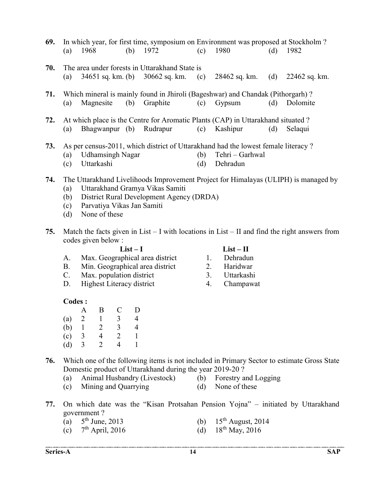| 69. | In which year, for first time, symposium on Environment was proposed at Stockholm? |                         |  |                                                |     |                                                                                   |     |                                                                                     |  |  |  |
|-----|------------------------------------------------------------------------------------|-------------------------|--|------------------------------------------------|-----|-----------------------------------------------------------------------------------|-----|-------------------------------------------------------------------------------------|--|--|--|
|     | (a)                                                                                | 1968                    |  | (b) $1972$                                     | (c) | 1980                                                                              | (d) | 1982                                                                                |  |  |  |
| 70. |                                                                                    |                         |  | The area under forests in Uttarakhand State is |     |                                                                                   |     |                                                                                     |  |  |  |
|     | (a)                                                                                |                         |  | $34651$ sq. km. (b) $30662$ sq. km. (c)        |     | $28462$ sq. km. (d)                                                               |     | 22462 sq. km.                                                                       |  |  |  |
| 71. |                                                                                    |                         |  |                                                |     | Which mineral is mainly found in Jhiroli (Bageshwar) and Chandak (Pithorgarh)?    |     |                                                                                     |  |  |  |
|     | (a)                                                                                | Magnesite               |  | (b) Graphite                                   |     | $(c)$ Gypsum                                                                      | (d) | Dolomite                                                                            |  |  |  |
| 72. |                                                                                    |                         |  |                                                |     | At which place is the Centre for Aromatic Plants (CAP) in Uttarakhand situated?   |     |                                                                                     |  |  |  |
|     | (a)                                                                                |                         |  | Bhagwanpur (b) Rudrapur (c) Kashipur           |     |                                                                                   | (d) | Selaqui                                                                             |  |  |  |
| 73. |                                                                                    |                         |  |                                                |     | As per census-2011, which district of Uttarakhand had the lowest female literacy? |     |                                                                                     |  |  |  |
|     | (a)                                                                                | <b>Udhamsingh Nagar</b> |  |                                                | (b) | Tehri – Garhwal                                                                   |     |                                                                                     |  |  |  |
|     | (c)                                                                                | Uttarkashi              |  |                                                | (d) | Dehradun                                                                          |     |                                                                                     |  |  |  |
| 74. |                                                                                    |                         |  |                                                |     |                                                                                   |     | The Uttarakhand Livelihoods Improvement Project for Himalayas (ULIPH) is managed by |  |  |  |
|     |                                                                                    |                         |  |                                                |     |                                                                                   |     |                                                                                     |  |  |  |

- (a) Uttarakhand Gramya Vikas Samiti (b) District Rural Development Agency (DRDA)
- (c) Parvatiya Vikas Jan Samiti
- (d) None of these
- 75. Match the facts given in List I with locations in List II and find the right answers from codes given below :

| ۰.<br>۰.<br>۰,<br>× |  |
|---------------------|--|
|                     |  |

### $List - II$

- A. Max. Geographical area district 1. Dehradun
- B. Min. Geographical area district 2. Haridwar
- C. Max. population district 3. Uttarkashi
- D. Highest Literacy district 4. Champawat
- Codes :

|     |   | В                           | C | I) |
|-----|---|-----------------------------|---|----|
| (a) | 2 |                             | 3 | 4  |
| (b) |   | 2                           | 3 | 4  |
| (c) | 3 | 4                           | 2 |    |
| (d) | 3 | $\mathcal{D}_{\mathcal{L}}$ | 4 |    |

- 76. Which one of the following items is not included in Primary Sector to estimate Gross State Domestic product of Uttarakhand during the year 2019-20 ?
	- (a) Animal Husbandry (Livestock) (b) Forestry and Logging
		-
	- (c) Mining and Quarrying (d) None of these
- 77. On which date was the "Kisan Protsahan Pension Yojna" initiated by Uttarakhand
	- government ?<br>(a)  $5<sup>th</sup>$  June, 2013
	- (a)  $5^{th}$  June, 2013 (b)  $15^{th}$  August, 2014 (c)  $7^{th}$  April, 2016 (d)  $18^{th}$  May, 2016 (c)  $7^{\text{th}}$  April, 2016 (d)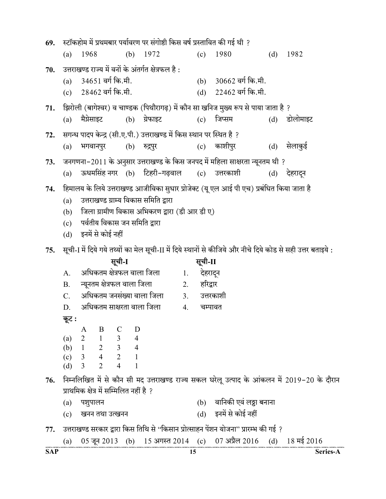| 69.        |           |                                                 |                             |              |                                                     |    |              | स्टॉकहोम में प्रथमबार पर्यावरण पर संगोष्ठी किस वर्ष प्रस्तावित की गई थी ?                |     |                                                                                                             |
|------------|-----------|-------------------------------------------------|-----------------------------|--------------|-----------------------------------------------------|----|--------------|------------------------------------------------------------------------------------------|-----|-------------------------------------------------------------------------------------------------------------|
|            | (a)       | 1968                                            |                             | (b)          | 1972                                                |    | (c)          | 1980                                                                                     | (d) | 1982                                                                                                        |
| 70.        |           |                                                 |                             |              | उत्तराखण्ड राज्य में वनों के अंतर्गत क्षेत्रफल है : |    |              |                                                                                          |     |                                                                                                             |
|            | (a)       |                                                 | 34651 वर्ग कि.मी.           |              |                                                     |    | (b)          | 30662 वर्ग कि.मी.                                                                        |     |                                                                                                             |
|            | (c)       | 28462 वर्ग कि.मी.                               |                             |              |                                                     |    |              | (d) 22462 वर्ग कि.मी.                                                                    |     |                                                                                                             |
| 71.        |           |                                                 |                             |              |                                                     |    |              | झिरोली (बागेश्वर) व चाण्डक (पिथौरागढ़) में कौन सा खनिज मुख्य रूप से पाया जाता है ?       |     |                                                                                                             |
|            | (a)       | मैग्नेसाइट                                      |                             |              | (b) ग्रेफाइट                                        |    |              | (c) जिप्सम                                                                               |     | (d) डोलोमाइट                                                                                                |
| 72.        |           |                                                 |                             |              |                                                     |    |              | सगन्ध पादप केन्द्र (सी.ए.पी.) उत्तराखण्ड में किस स्थान पर स्थित है ?                     |     |                                                                                                             |
|            | (a)       | भगवानपुर                                        |                             |              | (b) रु <u>द्रप</u> ुर                               |    |              | (c) काशीपुर                                                                              | (d) | सेलाकुई                                                                                                     |
| 73.        |           |                                                 |                             |              |                                                     |    |              | जनगणना–2011 के अनुसार उत्तराखण्ड के किस जनपद में महिला साक्षरता न्यूनतम थी ?             |     |                                                                                                             |
|            | (a)       |                                                 |                             |              |                                                     |    |              | ऊधमसिंह नगर (b) टिहरी-गढ़वाल (c) उत्तरकाशी                                               |     | (d) देहरादन                                                                                                 |
| 74.        |           |                                                 |                             |              |                                                     |    |              | हिमालय के लिये उत्तराखण्ड आजीविका सुधार प्रोजेक्ट (यू एल आई पी एच) प्रबंधित किया जाता है |     |                                                                                                             |
|            | (a)       |                                                 |                             |              | उत्तराखण्ड ग्राम्य विकास समिति द्वारा               |    |              |                                                                                          |     |                                                                                                             |
|            | (b)       |                                                 |                             |              | जिला ग्रामीण विकास अभिकरण द्वारा (डी आर डी ए)       |    |              |                                                                                          |     |                                                                                                             |
|            | (c)       |                                                 |                             |              | पर्वतीय विकास जन समिति द्वारा                       |    |              |                                                                                          |     |                                                                                                             |
|            |           | (d) इनमें से कोई नहीं                           |                             |              |                                                     |    |              |                                                                                          |     |                                                                                                             |
| 75.        |           |                                                 |                             |              |                                                     |    |              |                                                                                          |     | सूची-I में दिये गये तथ्यों का मेल सूची-II में दिये स्थानों से कीजिये और नीचे दिये कोड से सही उत्तर बताइये : |
|            |           |                                                 | सूची-I                      |              |                                                     |    | सूची-II      |                                                                                          |     |                                                                                                             |
|            | A.        |                                                 |                             |              | अधिकतम क्षेत्रफल वाला जिला                          | 1. | देहरादून     |                                                                                          |     |                                                                                                             |
|            | <b>B.</b> |                                                 | न्यूनतम क्षेत्रफल वाला जिला |              |                                                     | 2. | हरिद्वार     |                                                                                          |     |                                                                                                             |
|            | C.        |                                                 |                             |              | अधिकतम जनसंख्या वाला जिला                           |    | 3. उत्तरकाशी |                                                                                          |     |                                                                                                             |
|            | D.        |                                                 |                             |              | अधिकतम साक्षरता वाला जिला                           | 4. | चम्पावत      |                                                                                          |     |                                                                                                             |
|            | कूट :     |                                                 |                             |              |                                                     |    |              |                                                                                          |     |                                                                                                             |
|            |           | A                                               | $\mathbf{B}$<br>$\mathbf C$ | D            |                                                     |    |              |                                                                                          |     |                                                                                                             |
|            |           | (a) $2$ 1 3 4<br>(b) $1$ 2 3 4<br>(c) $3$ 4 2 1 |                             |              |                                                     |    |              |                                                                                          |     |                                                                                                             |
|            |           |                                                 |                             |              |                                                     |    |              |                                                                                          |     |                                                                                                             |
|            | (d)       | $\overline{2}$<br>$\overline{3}$                | $\overline{4}$              | $\mathbf{1}$ |                                                     |    |              |                                                                                          |     |                                                                                                             |
| 76.        |           |                                                 |                             |              |                                                     |    |              |                                                                                          |     | निम्नलिखित में से कौन सी मद उत्तराखण्ड राज्य सकल घरेलू उत्पाद के आंकलन में 2019-20 के दौरान                 |
|            |           | प्राथमिक क्षेत्र में सम्मिलित नहीं है ?         |                             |              |                                                     |    |              |                                                                                          |     |                                                                                                             |
|            | (a)       | पशुपालन                                         |                             |              |                                                     |    |              | (b) वानिकी एवं लठ्ठा बनाना                                                               |     |                                                                                                             |
|            | (c)       |                                                 | खनन तथा उत्खनन              |              |                                                     |    |              | (d) इनमें से कोई नहीं                                                                    |     |                                                                                                             |
| 77.        |           |                                                 |                             |              |                                                     |    |              | उत्तराखण्ड सरकार द्वारा किस तिथि से ''किसान प्रोत्साहन पेंशन योजना'' प्रारम्भ की गई ?    |     |                                                                                                             |
|            | (a)       |                                                 |                             |              |                                                     |    |              | 05 जून 2013 (b) 15 अगस्त 2014 (c) 07 अप्रैल 2016 (d) 18 मई 2016                          |     |                                                                                                             |
| <b>SAP</b> |           |                                                 |                             |              |                                                     | 15 |              |                                                                                          |     | Series-A                                                                                                    |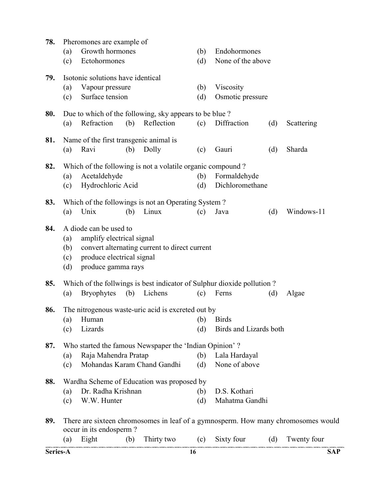| Series-A |                          |                                                                                                        |     |                                                                      | 16         |                                                                        |     | <b>SAP</b>                                                                        |
|----------|--------------------------|--------------------------------------------------------------------------------------------------------|-----|----------------------------------------------------------------------|------------|------------------------------------------------------------------------|-----|-----------------------------------------------------------------------------------|
|          | (a)                      | occur in its endosperm?<br>Eight                                                                       | (b) | Thirty two                                                           |            | (c) Sixty four                                                         | (d) | Twenty four                                                                       |
| 89.      |                          |                                                                                                        |     |                                                                      |            |                                                                        |     | There are sixteen chromosomes in leaf of a gymnosperm. How many chromosomes would |
|          | (c)                      | W.W. Hunter                                                                                            |     |                                                                      | (d)        | Mahatma Gandhi                                                         |     |                                                                                   |
|          | (a)                      | Dr. Radha Krishnan                                                                                     |     |                                                                      | (b)        | D.S. Kothari                                                           |     |                                                                                   |
| 88.      |                          |                                                                                                        |     | Wardha Scheme of Education was proposed by                           |            |                                                                        |     |                                                                                   |
|          | (c)                      |                                                                                                        |     | Mohandas Karam Chand Gandhi                                          | (d)        | None of above                                                          |     |                                                                                   |
|          | (a)                      | Raja Mahendra Pratap                                                                                   |     |                                                                      | (b)        | Lala Hardayal                                                          |     |                                                                                   |
| 87.      |                          |                                                                                                        |     | Who started the famous Newspaper the 'Indian Opinion'?               |            |                                                                        |     |                                                                                   |
|          | (c)                      | Lizards                                                                                                |     |                                                                      | (d)        | Birds and Lizards both                                                 |     |                                                                                   |
|          | (a)                      | Human                                                                                                  |     |                                                                      |            | (b) Birds                                                              |     |                                                                                   |
| 86.      |                          |                                                                                                        |     | The nitrogenous waste-uric acid is excreted out by                   |            |                                                                        |     |                                                                                   |
|          | (a)                      | <b>Bryophytes</b>                                                                                      | (b) | Lichens                                                              | (c)        | Ferns                                                                  | (d) | Algae                                                                             |
| 85.      |                          |                                                                                                        |     |                                                                      |            | Which of the follwings is best indicator of Sulphur dioxide pollution? |     |                                                                                   |
| 84.      | (a)<br>(b)<br>(c)<br>(d) | A diode can be used to<br>amplify electrical signal<br>produce electrical signal<br>produce gamma rays |     | convert alternating current to direct current                        |            |                                                                        |     |                                                                                   |
|          |                          |                                                                                                        |     |                                                                      |            |                                                                        |     |                                                                                   |
| 83.      | (a)                      | Unix                                                                                                   | (b) | Which of the followings is not an Operating System?<br>Linux         | (c)        | Java                                                                   | (d) | Windows-11                                                                        |
|          |                          |                                                                                                        |     |                                                                      |            |                                                                        |     |                                                                                   |
|          | (a)<br>(c)               | Acetaldehyde<br>Hydrochloric Acid                                                                      |     |                                                                      | (b)<br>(d) | Formaldehyde<br>Dichloromethane                                        |     |                                                                                   |
| 82.      |                          |                                                                                                        |     | Which of the following is not a volatile organic compound?           |            |                                                                        |     |                                                                                   |
|          | (a)                      | Ravi                                                                                                   | (b) | Dolly                                                                | (c)        | Gauri                                                                  | (d) | Sharda                                                                            |
| 81.      |                          | Name of the first transgenic animal is                                                                 |     |                                                                      |            |                                                                        |     |                                                                                   |
| 80.      | (a)                      | Refraction                                                                                             | (b) | Due to which of the following, sky appears to be blue?<br>Reflection | (c)        | Diffraction                                                            | (d) | Scattering                                                                        |
|          |                          |                                                                                                        |     |                                                                      |            |                                                                        |     |                                                                                   |
|          | (a)<br>(c)               | Vapour pressure<br>Surface tension                                                                     |     |                                                                      | (b)<br>(d) | Viscosity<br>Osmotic pressure                                          |     |                                                                                   |
| 79.      |                          | Isotonic solutions have identical                                                                      |     |                                                                      |            |                                                                        |     |                                                                                   |
|          | (c)                      | Ectohormones                                                                                           |     |                                                                      | (d)        | None of the above                                                      |     |                                                                                   |
|          | (a)                      | Growth hormones                                                                                        |     |                                                                      | (b)        | Endohormones                                                           |     |                                                                                   |
| 78.      |                          | Pheromones are example of                                                                              |     |                                                                      |            |                                                                        |     |                                                                                   |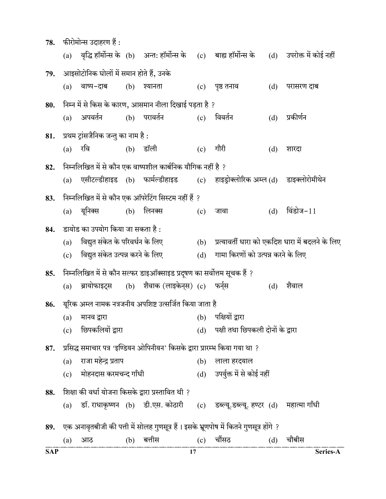| 78.        |     | फीरोमोन्स उदाहरण हैं :                  |     |                                                                            |     |                                                                                                |     |                                                  |
|------------|-----|-----------------------------------------|-----|----------------------------------------------------------------------------|-----|------------------------------------------------------------------------------------------------|-----|--------------------------------------------------|
|            |     |                                         |     |                                                                            |     | (a) वृद्धि हॉर्मोन्स के (b) अन्त: हॉर्मोन्स के (c) बाह्य हॉर्मोन्स के (d) उपरोक्त में कोई नहीं |     |                                                  |
| 79.        |     | आइसोटोनिक घोलों में समान होते हैं, उनके |     |                                                                            |     |                                                                                                |     |                                                  |
|            | (a) | वाष्प-दाब                               |     | (b) श्यानता                                                                |     | (c) पृष्ठ तनाव                                                                                 | (d) | परासरण दाब                                       |
| 80.        |     |                                         |     | निम्न में से किस के कारण, आसमान नीला दिखाई पड़ता है ?                      |     |                                                                                                |     |                                                  |
|            | (a) | अपवर्तन                                 |     | (b) परावर्तन                                                               | (c) | विवर्तन                                                                                        | (d) | प्रकीर्णन                                        |
| 81.        |     | प्रथम ट्रांसजैनिक जन्तु का नाम है :     |     |                                                                            |     |                                                                                                |     |                                                  |
|            | (a) | रवि                                     |     | $(b)$ डॉली                                                                 | (c) | गौरी                                                                                           | (d) | शारदा                                            |
| 82.        |     |                                         |     | निम्नलिखित में से कौन एक वाष्पशील कार्बनिक यौगिक नहीं है ?                 |     |                                                                                                |     |                                                  |
|            | (a) |                                         |     |                                                                            |     | एसीटल्डीहाइड (b) फार्मल्डीहाइड  (c) हाइड्रोक्लोरिक अम्ल (d) डाइक्लोरोमीथेन                     |     |                                                  |
| 83.        |     |                                         |     | निम्नलिखित में से कौन एक ऑपरेटिंग सिस्टम नहीं हैं ?                        |     |                                                                                                |     |                                                  |
|            | (a) | यूनिक्स                                 |     | $(b)$ लिनक्स                                                               | (c) | जावा                                                                                           | (d) | विंडोज- $11$                                     |
| 84.        |     | डायोड का उपयोग किया जा सकता है :        |     |                                                                            |     |                                                                                                |     |                                                  |
|            | (a) | विद्युत संकेत के परिवर्धन के लिए        |     |                                                                            | (b) |                                                                                                |     | प्रत्यावर्ती धारा को एकदिश धारा में बदलने के लिए |
|            | (c) | विद्युत संकेत उत्पन्न करने के लिए       |     |                                                                            | (d) | गामा किरणों को उत्पन्न करने के लिए                                                             |     |                                                  |
| 85.        |     |                                         |     | निम्नलिखित में से कौन सल्फर डाइऑक्साइड प्रदूषण का सर्वोत्तम सूचक हैं ?     |     |                                                                                                |     |                                                  |
|            | (a) | ब्रायोफाइट्स                            |     | (b) शैवाक (लाइकेन्स) (c) फर्न्स                                            |     |                                                                                                | (d) | शैवाल                                            |
| 86.        |     |                                         |     | यूरिक अम्ल नामक नत्रजनीय अपशिष्ट उत्सर्जित किया जाता है                    |     |                                                                                                |     |                                                  |
|            | (a) | मानव द्वारा                             |     | (b) पक्षियों द्वारा                                                        |     |                                                                                                |     |                                                  |
|            | (c) | छिपकलियों द्वारा                        |     |                                                                            | (d) | पक्षी तथा छिपकली दोनों के द्वारा                                                               |     |                                                  |
| 87.        |     |                                         |     | प्रसिद्ध समाचार पत्र 'इण्डियन ओपिनीयन' किसके द्वारा प्रारम्भ किया गया था ? |     |                                                                                                |     |                                                  |
|            | (a) | राजा महेन्द्र प्रताप                    |     |                                                                            | (b) | लाला हरदयाल                                                                                    |     |                                                  |
|            | (c) | मोहनदास करमचन्द गाँधी                   |     |                                                                            |     | (d) उपर्युक्त में से कोई नहीं                                                                  |     |                                                  |
| 88.        |     |                                         |     | शिक्षा की वर्धा योजना किसके द्वारा प्रस्तावित थी ?                         |     |                                                                                                |     |                                                  |
|            | (a) |                                         |     |                                                                            |     | डॉ. राधाकृष्णन (b) डी.एस. कोठारी (c) डब्ल्यू.डब्ल्यू. हण्टर (d) महात्मा गाँधी                  |     |                                                  |
| 89.        |     |                                         |     |                                                                            |     | एक अनावृतबीजी की पत्ती में सोलह गुणसूत्र हैं। इसके भ्रूणपोष में कितने गुणसूत्र होंगे ?         |     |                                                  |
|            | (a) | आठ                                      | (b) | बत्तीस                                                                     | (c) | चौंसठ                                                                                          | (d) | चौबीस                                            |
| <b>SAP</b> |     |                                         |     | 17                                                                         |     |                                                                                                |     | Series-A                                         |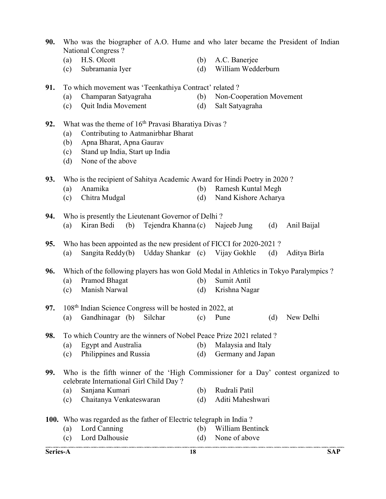| 90. |            | National Congress?                                                       |            | Who was the biographer of A.O. Hume and who later became the President of Indian      |  |  |  |  |  |  |
|-----|------------|--------------------------------------------------------------------------|------------|---------------------------------------------------------------------------------------|--|--|--|--|--|--|
|     | (a)        | H.S. Olcott                                                              | (b)        | A.C. Banerjee                                                                         |  |  |  |  |  |  |
|     | (c)        | Subramania Iyer                                                          | (d)        | William Wedderburn                                                                    |  |  |  |  |  |  |
| 91. |            | To which movement was 'Teenkathiya Contract' related ?                   |            |                                                                                       |  |  |  |  |  |  |
|     | (a)        | Champaran Satyagraha                                                     | (b)        | Non-Cooperation Movement                                                              |  |  |  |  |  |  |
|     | (c)        | Quit India Movement                                                      | (d)        | Salt Satyagraha                                                                       |  |  |  |  |  |  |
| 92. |            | What was the theme of 16 <sup>th</sup> Pravasi Bharatiya Divas?          |            |                                                                                       |  |  |  |  |  |  |
|     | (a)        | Contributing to Aatmanirbhar Bharat                                      |            |                                                                                       |  |  |  |  |  |  |
|     | (b)        | Apna Bharat, Apna Gaurav                                                 |            |                                                                                       |  |  |  |  |  |  |
|     | (c)<br>(d) | Stand up India, Start up India<br>None of the above                      |            |                                                                                       |  |  |  |  |  |  |
| 93. |            | Who is the recipient of Sahitya Academic Award for Hindi Poetry in 2020? |            |                                                                                       |  |  |  |  |  |  |
|     | (a)        | Anamika                                                                  | (b)        | <b>Ramesh Kuntal Megh</b>                                                             |  |  |  |  |  |  |
|     | (c)        | Chitra Mudgal                                                            | (d)        | Nand Kishore Acharya                                                                  |  |  |  |  |  |  |
| 94. |            | Who is presently the Lieutenant Governor of Delhi?                       |            |                                                                                       |  |  |  |  |  |  |
|     | (a)        | Kiran Bedi<br>Tejendra Khanna (c)<br>(b)                                 |            | Najeeb Jung<br>(d)<br>Anil Baijal                                                     |  |  |  |  |  |  |
| 95. |            | Who has been appointed as the new president of FICCI for 2020-2021?      |            |                                                                                       |  |  |  |  |  |  |
|     | (a)        | Sangita Reddy(b) Udday Shankar (c) Vijay Gokhle                          |            | (d)<br>Aditya Birla                                                                   |  |  |  |  |  |  |
| 96. |            |                                                                          |            | Which of the following players has won Gold Medal in Athletics in Tokyo Paralympics ? |  |  |  |  |  |  |
|     | (a)        | Pramod Bhagat                                                            | (b)        | Sumit Antil                                                                           |  |  |  |  |  |  |
|     | (c)        | Manish Narwal                                                            | (d)        | Krishna Nagar                                                                         |  |  |  |  |  |  |
| 97. |            | 108 <sup>th</sup> Indian Science Congress will be hosted in 2022, at     |            |                                                                                       |  |  |  |  |  |  |
|     | (a)        | Gandhinagar (b)<br>Silchar                                               | (c)        | New Delhi<br>(d)<br>Pune                                                              |  |  |  |  |  |  |
| 98. |            | To which Country are the winners of Nobel Peace Prize 2021 related?      |            |                                                                                       |  |  |  |  |  |  |
|     | (a)        | Egypt and Australia                                                      | (b)        | Malaysia and Italy                                                                    |  |  |  |  |  |  |
|     | (c)        | Philippines and Russia                                                   | (d)        | Germany and Japan                                                                     |  |  |  |  |  |  |
| 99. |            |                                                                          |            | Who is the fifth winner of the 'High Commissioner for a Day' contest organized to     |  |  |  |  |  |  |
|     |            | celebrate International Girl Child Day?                                  |            |                                                                                       |  |  |  |  |  |  |
|     | (a)<br>(c) | Sanjana Kumari<br>Chaitanya Venkateswaran                                | (b)<br>(d) | Rudrali Patil<br>Aditi Maheshwari                                                     |  |  |  |  |  |  |
|     |            |                                                                          |            |                                                                                       |  |  |  |  |  |  |
|     |            | 100. Who was regarded as the father of Electric telegraph in India?      |            |                                                                                       |  |  |  |  |  |  |
|     | (a)        | Lord Canning                                                             | (b)        | William Bentinck                                                                      |  |  |  |  |  |  |
|     | (c)        | Lord Dalhousie                                                           | (d)        | None of above                                                                         |  |  |  |  |  |  |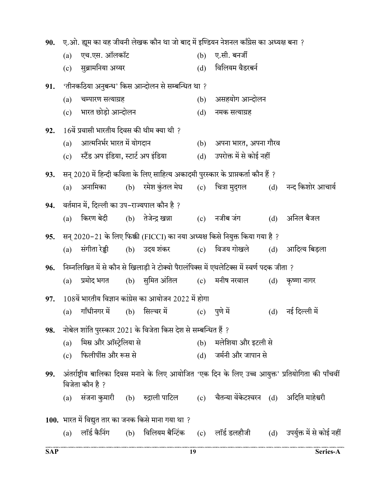| 90. |                                                                                    |                                             |  |                                                                |     | ए.ओ. ह्यूम का वह जीवनी लेखक कौन था जो बाद में इण्डियन नेशनल काँग्रेस का अध्यक्ष बना ?      |  |                                                                                                   |  |  |
|-----|------------------------------------------------------------------------------------|---------------------------------------------|--|----------------------------------------------------------------|-----|--------------------------------------------------------------------------------------------|--|---------------------------------------------------------------------------------------------------|--|--|
|     | (a)                                                                                | एच.एस. ऑलकॉट                                |  |                                                                | (b) | ए.सी. बनर्जी                                                                               |  |                                                                                                   |  |  |
|     | (c)                                                                                | सुब्रामनिया अय्यर                           |  |                                                                | (d) | विलियम वैडरबर्न                                                                            |  |                                                                                                   |  |  |
| 91. |                                                                                    |                                             |  | 'तीनकठिया अनुबन्ध' किस आन्दोलन से सम्बन्धित था ?               |     |                                                                                            |  |                                                                                                   |  |  |
|     | (a)                                                                                | चम्पारण सत्याग्रह                           |  |                                                                | (b) | असहयोग आन्दोलन                                                                             |  |                                                                                                   |  |  |
|     | (c)                                                                                | भारत छोड़ो आन्दोलन                          |  |                                                                | (d) | नमक सत्याग्रह                                                                              |  |                                                                                                   |  |  |
| 92. |                                                                                    | 16वें प्रवासी भारतीय दिवस की थीम क्या थी ?  |  |                                                                |     |                                                                                            |  |                                                                                                   |  |  |
|     | (a)                                                                                | आत्मनिर्भर भारत में योगदान                  |  |                                                                |     | (b) अपना भारत, अपना गौरव                                                                   |  |                                                                                                   |  |  |
|     | (c)                                                                                | स्टैंड अप इंडिया, स्टार्ट अप इंडिया         |  |                                                                | (d) | उपरोक्त में से कोई नहीं                                                                    |  |                                                                                                   |  |  |
| 93. | सन् 2020 में हिन्दी कविता के लिए साहित्य अकादमी पुरस्कार के प्राप्तकर्ता कौन हैं ? |                                             |  |                                                                |     |                                                                                            |  |                                                                                                   |  |  |
|     | (a)                                                                                | अनामिका                                     |  |                                                                |     | (b) रमेश कुंतल मेघ      (c)     चित्रा मुद्गल                                              |  | (d) नन्द किशोर आचार्य                                                                             |  |  |
| 94. |                                                                                    | वर्तमान में, दिल्ली का उप–राज्यपाल कौन है ? |  |                                                                |     |                                                                                            |  |                                                                                                   |  |  |
|     | (a)                                                                                | किरण बेदी         (b)     तेजेन्द्र खन्ना   |  |                                                                |     | (c) नजीब जंग                                                                               |  | (d) अनिल बैजल                                                                                     |  |  |
| 95. |                                                                                    |                                             |  |                                                                |     | सन् 2020–21 के लिए फिक्की (FICCI) का नया अध्यक्ष किसे नियुक्त किया गया है ?                |  |                                                                                                   |  |  |
|     | (a)                                                                                | संगीता रेड्डी                               |  | (b) उदय शंकर                                                   |     | (c) विजय गोखले                                                                             |  | (d) आदित्य बिड़ला                                                                                 |  |  |
| 96. |                                                                                    |                                             |  |                                                                |     | निम्नलिखित में से कौन से खिलाड़ी ने टोक्यो पैरालंपिक्स में एथलेटिक्स में स्वर्ण पदक जीता ? |  |                                                                                                   |  |  |
|     | (a)                                                                                | प्रमोद भगत                                  |  | (b) सुमित अंतिल                                                |     | (c) मनीष नरवाल                                                                             |  | (d) कृष्णा नागर                                                                                   |  |  |
| 97. |                                                                                    |                                             |  | $108$ वें भारतीय विज्ञान कांग्रेस का आयोजन 2022 में होगा       |     |                                                                                            |  |                                                                                                   |  |  |
|     | (a)                                                                                | गाँधीनगर में                                |  | (b) सिल्चर में                                                 | (c) | ्पूणे में                                                                                  |  | (d) नई दिल्ली में                                                                                 |  |  |
| 98. |                                                                                    |                                             |  | नोबेल शांति पुरस्कार 2021 के विजेता किस देश से सम्बन्धित हैं ? |     |                                                                                            |  |                                                                                                   |  |  |
|     | (a)                                                                                | मिस्र और ऑस्ट्रेलिया से                     |  |                                                                |     | (b) मलेशिया और इटली से                                                                     |  |                                                                                                   |  |  |
|     | (c)                                                                                | फिलीपींस और रूस से                          |  |                                                                |     | (d) जर्मनी और जापान से                                                                     |  |                                                                                                   |  |  |
| 99. |                                                                                    |                                             |  |                                                                |     |                                                                                            |  | अंतर्राष्ट्रीय बालिका दिवस मनाने के लिए आयोजित 'एक दिन के लिए उच्च आयुक्त' प्रतियोगिता की पाँचवीं |  |  |
|     |                                                                                    | विजेता कौन है ?                             |  |                                                                |     |                                                                                            |  |                                                                                                   |  |  |
|     | (a)                                                                                |                                             |  |                                                                |     | संजना कुमारी (b) रुद्राली पाटिल     (c)  चैतन्या वेंकेटश्वरन   (d)   अदिति माहेश्वरी       |  |                                                                                                   |  |  |
|     |                                                                                    |                                             |  | 100. भारत में विद्युत तार का जनक किसे माना गया था ?            |     |                                                                                            |  |                                                                                                   |  |  |
|     | (a)                                                                                |                                             |  |                                                                |     | लॉर्ड कैनिंग        (b)    विलियम बैन्टिंक       (c)     लॉर्ड डलहौजी                      |  | (d) उपर्युक्त में से कोई नहीं                                                                     |  |  |
|     |                                                                                    |                                             |  |                                                                |     |                                                                                            |  |                                                                                                   |  |  |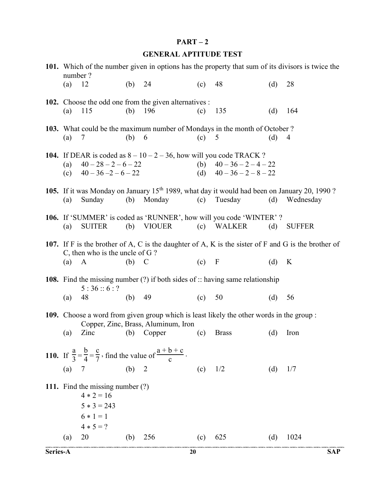### $PART-2$

## GENERAL APTITUDE TEST

| number? |                                                                                                 |     |                                                                                           |         |                                                                                                                            |     | 101. Which of the number given in options has the property that sum of its divisors is twice the         |
|---------|-------------------------------------------------------------------------------------------------|-----|-------------------------------------------------------------------------------------------|---------|----------------------------------------------------------------------------------------------------------------------------|-----|----------------------------------------------------------------------------------------------------------|
| (a)     | 12                                                                                              | (b) | 24                                                                                        | (c)     | 48                                                                                                                         | (d) | 28                                                                                                       |
| (a)     | 115                                                                                             | (b) | 102. Choose the odd one from the given alternatives :<br>196                              | (c)     | 135                                                                                                                        | (d) | 164                                                                                                      |
| (a)     | 7                                                                                               | (b) | 6                                                                                         | (c)     | 103. What could be the maximum number of Mondays in the month of October?<br>5                                             | (d) | 4                                                                                                        |
| (a)     | $40 - 28 - 2 - 6 - 22$<br>(c) $40 - 36 - 2 - 6 - 22$                                            |     |                                                                                           |         | 104. If DEAR is coded as $8 - 10 - 2 - 36$ , how will you code TRACK ?<br>(b) $40-36-2-4-22$<br>(d) $40 - 36 - 2 - 8 - 22$ |     |                                                                                                          |
| (a)     | Sunday                                                                                          | (b) | Monday                                                                                    | (c)     | 105. If it was Monday on January 15 <sup>th</sup> 1989, what day it would had been on January 20, 1990?<br>Tuesday         | (d) | Wednesday                                                                                                |
| (a)     | <b>SUITER</b>                                                                                   |     | $(b)$ VIOUER                                                                              |         | 106. If 'SUMMER' is coded as 'RUNNER', how will you code 'WINTER' ?<br>(c) WALKER                                          | (d) | <b>SUFFER</b>                                                                                            |
| $(a)$ A | C, then who is the uncle of $G$ ?                                                               | (b) | $\mathcal{C}$                                                                             | $(c)$ F |                                                                                                                            | (d) | 107. If F is the brother of A, C is the daughter of A, K is the sister of F and G is the brother of<br>K |
|         | 5:36::6:?                                                                                       |     |                                                                                           |         | <b>108.</b> Find the missing number $(?)$ if both sides of :: having same relationship                                     |     |                                                                                                          |
| (a)     | 48                                                                                              | (b) | 49                                                                                        | (c)     | 50                                                                                                                         | (d) | 56                                                                                                       |
|         |                                                                                                 |     | Copper, Zinc, Brass, Aluminum, Iron                                                       |         | 109. Choose a word from given group which is least likely the other words in the group:                                    |     |                                                                                                          |
| (a)     | Zinc                                                                                            | (b) | Copper                                                                                    | (c)     | <b>Brass</b>                                                                                                               | (d) | Iron                                                                                                     |
|         |                                                                                                 |     | 110. If $\frac{a}{3} = \frac{b}{4} = \frac{c}{7}$ , find the value of $\frac{a+b+c}{c}$ . |         |                                                                                                                            |     |                                                                                                          |
| (a)     | 7                                                                                               | (b) | $\overline{2}$                                                                            | (c)     | 1/2                                                                                                                        | (d) | 1/7                                                                                                      |
|         | 111. Find the missing number (?)<br>$4 * 2 = 16$<br>$5 * 3 = 243$<br>$6 * 1 = 1$<br>$4 * 5 = ?$ |     |                                                                                           |         |                                                                                                                            |     |                                                                                                          |
| (a)     | 20                                                                                              | (b) | 256                                                                                       | (c)     | 625                                                                                                                        | (d) | 1024                                                                                                     |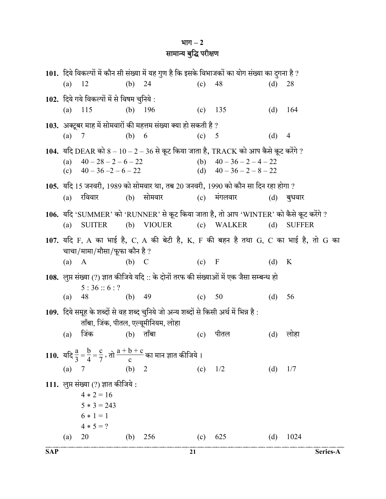# भाग $-2$ सामान्य बुद्धि परीक्षण

|          |                                                      |          |                                                                                                 |         | 101.  दिये विकल्पों में कौन सी संख्या में यह गुण है कि इसके विभाजकों का योग संख्या का दुगना है ? |     |                                                                                      |
|----------|------------------------------------------------------|----------|-------------------------------------------------------------------------------------------------|---------|--------------------------------------------------------------------------------------------------|-----|--------------------------------------------------------------------------------------|
| (a) $12$ |                                                      | (b) $24$ |                                                                                                 | (c)     | 48                                                                                               | (d) | 28                                                                                   |
|          | 102. दिये गये विकल्पों में से विषम चुनिये :          |          |                                                                                                 |         |                                                                                                  |     |                                                                                      |
|          | (a) $115$                                            | (b)      | 196                                                                                             | (c)     | 135                                                                                              | (d) | 164                                                                                  |
|          |                                                      |          | 103. अक्टूबर माह में सोमवारों की महत्तम संख्या क्या हो सकती है ?                                |         |                                                                                                  |     |                                                                                      |
| (a)      | 7                                                    | (b) 6    |                                                                                                 | (c) 5   |                                                                                                  | (d) | $\overline{4}$                                                                       |
|          |                                                      |          |                                                                                                 |         | 104. यदि DEAR को $8 - 10 - 2 - 36$ से कूट किया जाता है, TRACK को आप कैसे कूट करेंगे ?            |     |                                                                                      |
| (a)      | $40 - 28 - 2 - 6 - 22$                               |          |                                                                                                 |         | (b) $40 - 36 - 2 - 4 - 22$                                                                       |     |                                                                                      |
|          | (c) $40 - 36 - 2 - 6 - 22$                           |          |                                                                                                 |         | (d) $40 - 36 - 2 - 8 - 22$                                                                       |     |                                                                                      |
|          |                                                      |          |                                                                                                 |         | 105. यदि 15 जनवरी, 1989 को सोमवार था, तब 20 जनवरी, 1990 को कौन सा दिन रहा होगा ?                 |     |                                                                                      |
|          | (a) रविवार                                           |          | (b) सोमवार                                                                                      |         | $(c)$ मंगलवार                                                                                    |     | $(d)$ बुधवार                                                                         |
|          |                                                      |          |                                                                                                 |         | 106. यदि 'SUMMER' को 'RUNNER' से कूट किया जाता है, तो आप 'WINTER' को कैसे कूट करेंगे ?           |     |                                                                                      |
| (a)      | <b>SUITER</b>                                        |          | (b) VIOUER                                                                                      |         | (c) WALKER                                                                                       | (d) | <b>SUFFER</b>                                                                        |
|          |                                                      |          |                                                                                                 |         |                                                                                                  |     | 107. यदि F, A का भाई है, C, A की बेटी है, K, F की बहन है तथा G, C का भाई है, तो G का |
|          | चाचा/मामा/मौसा/फूफा कौन है ?                         |          |                                                                                                 |         |                                                                                                  |     |                                                                                      |
| $(a)$ A  |                                                      | $(b)$ C  |                                                                                                 | $(c)$ F |                                                                                                  | (d) | K                                                                                    |
|          |                                                      |          |                                                                                                 |         | 108. लुप्त संख्या (?) ज्ञात कीजिये यदि :: के दोनों तरफ की संख्याओं में एक जैसा सम्बन्ध हो        |     |                                                                                      |
|          | 5:36::6:?                                            |          |                                                                                                 |         |                                                                                                  |     |                                                                                      |
| (a)      | 48                                                   | (b)      | 49                                                                                              | (c)     | 50                                                                                               | (d) | 56                                                                                   |
|          |                                                      |          | 109. दिये समूह के शब्दों से वह शब्द चुनिये जो अन्य शब्दों से किसी अर्थ में भिन्न है :           |         |                                                                                                  |     |                                                                                      |
|          | ताँबा, जिंक, पीतल, एल्यूमीनियम, लोहा                 |          |                                                                                                 |         |                                                                                                  |     |                                                                                      |
| (a)      | जिंक                                                 |          | $(b)$ ताँबा                                                                                     | (c)     | पीतल                                                                                             | (d) | लोहा                                                                                 |
|          |                                                      |          | 110. यदि $\frac{a}{3} = \frac{b}{4} = \frac{c}{7}$ , तो $\frac{a+b+c}{c}$ का मान ज्ञात कीजिये । |         |                                                                                                  |     |                                                                                      |
| (a)      | 7                                                    | (b)      | $\overline{2}$                                                                                  | (c)     | 1/2                                                                                              | (d) | 1/7                                                                                  |
|          |                                                      |          |                                                                                                 |         |                                                                                                  |     |                                                                                      |
|          | 111. लुप्त संख्या (?) ज्ञात कीजिये :<br>$4 * 2 = 16$ |          |                                                                                                 |         |                                                                                                  |     |                                                                                      |
|          | $5 * 3 = 243$                                        |          |                                                                                                 |         |                                                                                                  |     |                                                                                      |
|          | $6 * 1 = 1$                                          |          |                                                                                                 |         |                                                                                                  |     |                                                                                      |
|          | $4 * 5 = ?$                                          |          |                                                                                                 |         |                                                                                                  |     |                                                                                      |
| (a)      | 20                                                   | (b)      | 256                                                                                             | (c)     | 625                                                                                              | (d) | 1024                                                                                 |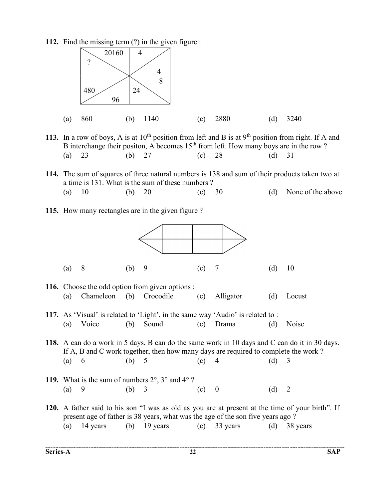112. Find the missing term (?) in the given figure :



- 113. In a row of boys, A is at  $10^{th}$  position from left and B is at  $9^{th}$  position from right. If A and B interchange their positon, A becomes  $15<sup>th</sup>$  from left. How many boys are in the row ? (a) 23 (b) 27 (c) 28 (d) 31
- 114. The sum of squares of three natural numbers is 138 and sum of their products taken two at a time is 131. What is the sum of these numbers ? (a)  $10$  (b)  $20$  (c)  $30$  (d) None of the above
- 115. How many rectangles are in the given figure ?

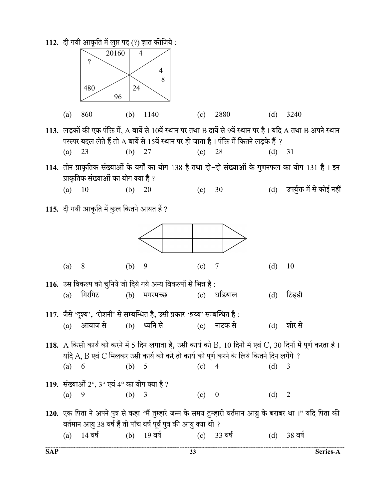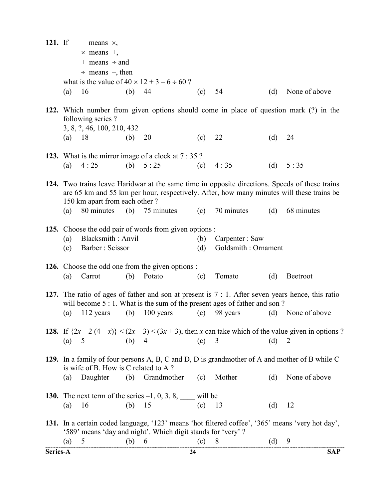| $121.$ If |            | $-$ means $\times$ ,<br>$\times$ means $+$ ,<br>$+$ means $\div$ and<br>$\div$ means $-$ , then |          |                                                               |            |                                                                                                                                                                                                                                |     |                                                                                                                                                                                            |
|-----------|------------|-------------------------------------------------------------------------------------------------|----------|---------------------------------------------------------------|------------|--------------------------------------------------------------------------------------------------------------------------------------------------------------------------------------------------------------------------------|-----|--------------------------------------------------------------------------------------------------------------------------------------------------------------------------------------------|
|           | (a)        | 16                                                                                              | (b)      | what is the value of $40 \times 12 + 3 - 6 \div 60$ ?<br>44   | (c)        | 54                                                                                                                                                                                                                             | (d) | None of above                                                                                                                                                                              |
|           |            | following series?<br>3, 8, ?, 46, 100, 210, 432                                                 |          |                                                               |            |                                                                                                                                                                                                                                |     | 122. Which number from given options should come in place of question mark (?) in the                                                                                                      |
|           | $(a)$ 18   |                                                                                                 | (b)      | 20                                                            | (c)        | 22                                                                                                                                                                                                                             | (d) | 24                                                                                                                                                                                         |
|           |            |                                                                                                 |          | 123. What is the mirror image of a clock at 7 : 35 ?          |            |                                                                                                                                                                                                                                |     |                                                                                                                                                                                            |
|           | (a)        | 4:25                                                                                            |          | (b) $5:25$                                                    | (c)        | 4:35                                                                                                                                                                                                                           | (d) | 5:35                                                                                                                                                                                       |
|           |            | 150 km apart from each other?                                                                   |          |                                                               |            |                                                                                                                                                                                                                                |     | 124. Two trains leave Haridwar at the same time in opposite directions. Speeds of these trains<br>are 65 km and 55 km per hour, respectively. After, how many minutes will these trains be |
|           | (a)        | 80 minutes                                                                                      |          | (b) $75 \text{ minutes}$                                      | (c)        | 70 minutes                                                                                                                                                                                                                     | (d) | 68 minutes                                                                                                                                                                                 |
|           | (a)<br>(c) | Blacksmith: Anvil<br>Barber: Scissor                                                            |          | 125. Choose the odd pair of words from given options :        | (b)<br>(d) | Carpenter: Saw<br>Goldsmith: Ornament                                                                                                                                                                                          |     |                                                                                                                                                                                            |
|           |            |                                                                                                 |          | <b>126.</b> Choose the odd one from the given options :       |            |                                                                                                                                                                                                                                |     |                                                                                                                                                                                            |
|           | (a)        | Carrot                                                                                          | (b)      | Potato                                                        | (c)        | Tomato                                                                                                                                                                                                                         | (d) | Beetroot                                                                                                                                                                                   |
|           |            |                                                                                                 |          |                                                               |            | will become 5 : 1. What is the sum of the present ages of father and son?                                                                                                                                                      |     | 127. The ratio of ages of father and son at present is $7:1$ . After seven years hence, this ratio                                                                                         |
|           | (a)        | 112 years                                                                                       | (b)      | 100 years                                                     | (c)        | 98 years                                                                                                                                                                                                                       | (d) | None of above                                                                                                                                                                              |
|           | (a)        | (b) 4<br>$5^{\circ}$                                                                            |          | (c)                                                           |            | 3                                                                                                                                                                                                                              | (d) | <b>128.</b> If $\{2x - 2 (4 - x)\} < (2x - 3) < (3x + 3)$ , then x can take which of the value given in options?<br>$\overline{2}$                                                         |
|           |            | is wife of B. How is C related to A?                                                            |          |                                                               |            |                                                                                                                                                                                                                                |     | 129. In a family of four persons A, B, C and D, D is grandmother of A and mother of B while C                                                                                              |
|           | (a)        | Daughter                                                                                        |          | (b) Grandmother (c)                                           |            | Mother (d)                                                                                                                                                                                                                     |     | None of above                                                                                                                                                                              |
|           |            |                                                                                                 |          | 130. The next term of the series $-1, 0, 3, 8,$ _____ will be |            |                                                                                                                                                                                                                                |     |                                                                                                                                                                                            |
|           | (a)        | 16                                                                                              | (b) $15$ |                                                               | $(c)$ 13   |                                                                                                                                                                                                                                | (d) | 12                                                                                                                                                                                         |
|           |            |                                                                                                 |          | '589' means 'day and night'. Which digit stands for 'very'?   |            |                                                                                                                                                                                                                                |     | 131. In a certain coded language, '123' means 'hot filtered coffee', '365' means 'very hot day',                                                                                           |
|           | (a)        | $5\overline{)}$                                                                                 | (b) 6    |                                                               |            | $(c)$ expressive corrective operation, expressive, expressive, corrective, corrective, corrective, corrective, expressive, expressive, expressive, expressive, corrective, corrective, corrective, corrective, corrective, cor | (d) | 9                                                                                                                                                                                          |
| Series-A  |            |                                                                                                 |          | 24                                                            |            |                                                                                                                                                                                                                                |     | <b>SAP</b>                                                                                                                                                                                 |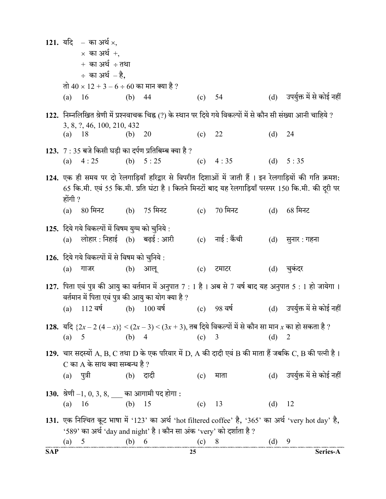|            |          | 121. यदि – का अर्थ ×,                             |          |                                                                      |         |                                                                                                                 |          |                                                                                                          |
|------------|----------|---------------------------------------------------|----------|----------------------------------------------------------------------|---------|-----------------------------------------------------------------------------------------------------------------|----------|----------------------------------------------------------------------------------------------------------|
|            |          | $\times$ का अर्थ +,                               |          |                                                                      |         |                                                                                                                 |          |                                                                                                          |
|            |          | $+$ का अर्थ $\div$ तथा                            |          |                                                                      |         |                                                                                                                 |          |                                                                                                          |
|            |          | $\div$ का अर्थ $-\xi$ ,                           |          |                                                                      |         |                                                                                                                 |          |                                                                                                          |
|            |          | तो 40 × 12 + 3 – 6 ÷ 60 का मान क्या है ?          |          |                                                                      |         |                                                                                                                 |          |                                                                                                          |
|            | (a) 16   |                                                   | (b) $44$ |                                                                      | (c) 54  |                                                                                                                 |          | (d) उपर्युक्त में से कोई नहीं                                                                            |
|            |          |                                                   |          |                                                                      |         | 122. निम्नलिखित श्रेणी में प्रश्नवाचक चिह्न (?) के स्थान पर दिये गये विकल्पों में से कौन सी संख्या आनी चाहिये ? |          |                                                                                                          |
|            | $(a)$ 18 | 3, 8, ?, 46, 100, 210, 432                        | (b)      | 20                                                                   | (c) 22  |                                                                                                                 | $(d)$ 24 |                                                                                                          |
|            |          |                                                   |          | 123. $7:35$ बजे किसी घड़ी का दर्पण प्रतिबिम्ब क्या है ?              |         |                                                                                                                 |          |                                                                                                          |
|            |          | (a) $4:25$                                        |          | (b) $5:25$                                                           |         | (c) $4:35$                                                                                                      |          | (d) $5:35$                                                                                               |
|            |          |                                                   |          |                                                                      |         |                                                                                                                 |          | 124. एक ही समय पर दो रेलगाड़ियाँ हरिद्वार से विपरीत दिशाओं में जाती हैं । इन रेलगाड़ियों की गति क्रमश:   |
|            | होंगी ?  |                                                   |          |                                                                      |         |                                                                                                                 |          | 65 कि.मी. एवं 55 कि.मी. प्रति घंटा है। कितने मिनटों बाद यह रेलगाड़ियाँ परस्पर 150 कि.मी. की दूरी पर      |
|            |          | (a) 80 मिनट (b) 75 मिनट                           |          |                                                                      |         | (c) 70 मिनट                                                                                                     | (d)      | $68$ मिनट                                                                                                |
|            |          | 125. दिये गये विकल्पों में विषम युग्म को चुनिये : |          |                                                                      |         |                                                                                                                 |          |                                                                                                          |
|            |          | (a) लोहार: निहाई (b) बढ़ई: आरी                    |          |                                                                      |         | (c) नाई : कैंची                                                                                                 | (d)      | सुनार : गहना                                                                                             |
|            |          | 126. दिये गये विकल्पों में से विषम को चुनिये :    |          |                                                                      |         |                                                                                                                 |          |                                                                                                          |
|            | (a)      | गाजर                                              |          | (b) आलू                                                              | (c)     | टमाटर                                                                                                           | (d)      | चुकदर                                                                                                    |
|            |          |                                                   |          |                                                                      |         |                                                                                                                 |          | 127. पिता एवं पुत्र की आयु का वर्तमान में अनुपात 7 : 1 है । अब से 7 वर्ष बाद यह अनुपात 5 : 1 हो जायेगा । |
|            | (a)      | 112 वर्ष                                          |          | वर्तमान में पिता एवं पुत्र की आयु का योग क्या है ?<br>$(b)$ 100 वर्ष |         | $(c)$ 98 वर्ष                                                                                                   |          | (d) उपर्युक्त में से कोई नहीं                                                                            |
|            |          |                                                   |          |                                                                      |         |                                                                                                                 |          |                                                                                                          |
|            |          |                                                   |          |                                                                      |         | 128. यदि $\{2x-2(4-x)\}<(2x-3) < (3x+3)$ , तब दिये विकल्पों में से कौन सा मान x का हो सकता है ?                 |          |                                                                                                          |
|            | (a)      | 5                                                 | (b) $4$  |                                                                      | $(c)$ 3 |                                                                                                                 | $(d)$ 2  |                                                                                                          |
|            |          |                                                   |          |                                                                      |         |                                                                                                                 |          | 129. चार सदस्यों A, B, C तथा D के एक परिवार में D, A की दादी एवं B की माता हैं जबकि C, B की पत्नी है।    |
|            |          | C का A के साथ क्या सम्बन्ध है ?                   |          |                                                                      |         |                                                                                                                 |          |                                                                                                          |
|            | (a)      | ्पत्री                                            | (b) दादी |                                                                      | (c)     | माता                                                                                                            |          | (d) उपर्युक्त में से कोई नहीं                                                                            |
|            |          | 130. श्रेणी $-1, 0, 3, 8,$ ___ का आगामी पद होगा : |          |                                                                      |         |                                                                                                                 |          |                                                                                                          |
|            | (a)      | (b) $15$<br>- 16                                  |          |                                                                      | (c)     | 13                                                                                                              | (d) $12$ |                                                                                                          |
|            |          |                                                   |          |                                                                      |         |                                                                                                                 |          | 131. एक निश्चित कूट भाषा में '123' का अर्थ 'hot filtered coffee' है, '365' का अर्थ 'very hot day' है,    |
|            |          |                                                   |          | '589' का अर्थ 'day and night' है। कौन सा अंक 'very' को दर्शाता है ?  |         |                                                                                                                 |          |                                                                                                          |
|            | (a)      | $5\overline{)}$                                   | (b) 6    |                                                                      | $(c)$ 8 |                                                                                                                 | $(d)$ 9  |                                                                                                          |
| <b>SAP</b> |          |                                                   |          | 25                                                                   |         |                                                                                                                 |          | Series-A                                                                                                 |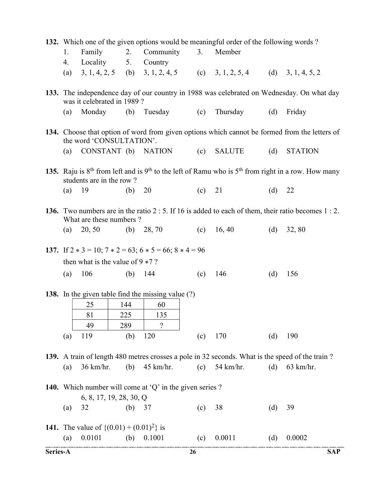|          | 132. Which one of the given options would be meaningful order of the following words?                                                |                                                     |          |                         |          |                                                                     |     |                                                                                                       |            |  |  |
|----------|--------------------------------------------------------------------------------------------------------------------------------------|-----------------------------------------------------|----------|-------------------------|----------|---------------------------------------------------------------------|-----|-------------------------------------------------------------------------------------------------------|------------|--|--|
|          | 1.                                                                                                                                   | Family                                              | 2.       | Community               | 3.       | Member                                                              |     |                                                                                                       |            |  |  |
|          | 4.                                                                                                                                   | Locality                                            | 5.       | Country                 |          |                                                                     |     |                                                                                                       |            |  |  |
|          | (a)                                                                                                                                  |                                                     |          |                         |          | 3, 1, 4, 2, 5 (b) 3, 1, 2, 4, 5 (c) 3, 1, 2, 5, 4 (d) 3, 1, 4, 5, 2 |     |                                                                                                       |            |  |  |
|          | 133. The independence day of our country in 1988 was celebrated on Wednesday. On what day<br>was it celebrated in 1989?              |                                                     |          |                         |          |                                                                     |     |                                                                                                       |            |  |  |
|          | (a)                                                                                                                                  | Monday                                              |          | (b) Tuesday (c)         |          | Thursday                                                            | (d) | Friday                                                                                                |            |  |  |
|          | 134. Choose that option of word from given options which cannot be formed from the letters of<br>the word 'CONSULTATION'.            |                                                     |          |                         |          |                                                                     |     |                                                                                                       |            |  |  |
|          | (a)                                                                                                                                  |                                                     |          | CONSTANT (b) NATION (c) |          | <b>SALUTE</b>                                                       | (d) | <b>STATION</b>                                                                                        |            |  |  |
|          | 135. Raju is $8th$ from left and is $9th$ to the left of Ramu who is $5th$ from right in a row. How many<br>students are in the row? |                                                     |          |                         |          |                                                                     |     |                                                                                                       |            |  |  |
|          | (a)                                                                                                                                  | 19                                                  | (b)      | 20                      | $(c)$ 21 |                                                                     | (d) | 22                                                                                                    |            |  |  |
|          |                                                                                                                                      | What are these numbers?                             |          |                         |          |                                                                     |     | 136. Two numbers are in the ratio $2:5$ . If 16 is added to each of them, their ratio becomes $1:2$ . |            |  |  |
|          | (a)                                                                                                                                  | 20, 50                                              |          | (b) 28, 70              |          | (c) 16, 40                                                          | (d) | 32, 80                                                                                                |            |  |  |
|          | 137. If $2 * 3 = 10$ ; $7 * 2 = 63$ ; $6 * 5 = 66$ ; $8 * 4 = 96$                                                                    |                                                     |          |                         |          |                                                                     |     |                                                                                                       |            |  |  |
|          |                                                                                                                                      | then what is the value of $9 * 7$ ?                 |          |                         |          |                                                                     |     |                                                                                                       |            |  |  |
|          | (a)                                                                                                                                  | 106                                                 |          | (b) $144$               | (c)      | 146                                                                 | (d) | 156                                                                                                   |            |  |  |
|          | 138. In the given table find the missing value (?)                                                                                   |                                                     |          |                         |          |                                                                     |     |                                                                                                       |            |  |  |
|          |                                                                                                                                      | 25                                                  | 144      | 60                      |          |                                                                     |     |                                                                                                       |            |  |  |
|          |                                                                                                                                      | 81                                                  | 225      | 135                     |          |                                                                     |     |                                                                                                       |            |  |  |
|          |                                                                                                                                      | 49                                                  | 289      | $\overline{?}$          |          |                                                                     |     |                                                                                                       |            |  |  |
|          | (a)                                                                                                                                  | 119                                                 | (b)      | 120                     | (c)      | 170                                                                 | (d) | 190                                                                                                   |            |  |  |
|          | 139. A train of length 480 metres crosses a pole in 32 seconds. What is the speed of the train?                                      |                                                     |          |                         |          |                                                                     |     |                                                                                                       |            |  |  |
|          | (a)                                                                                                                                  | 36 km/hr.                                           | (b)      | 45 km/hr.               | (c)      | 54 km/hr.                                                           | (d) | $63$ km/hr.                                                                                           |            |  |  |
|          | 140. Which number will come at 'Q' in the given series ?<br>6, 8, 17, 19, 28, 30, Q                                                  |                                                     |          |                         |          |                                                                     |     |                                                                                                       |            |  |  |
|          | (a)                                                                                                                                  | 32                                                  | (b) $37$ |                         | (c)      | 38                                                                  | (d) | 39                                                                                                    |            |  |  |
|          |                                                                                                                                      | <b>141.</b> The value of $\{(0.01) + (0.01)^2\}$ is |          |                         |          |                                                                     |     |                                                                                                       |            |  |  |
|          | (a)                                                                                                                                  | 0.0101                                              | (b)      | 0.1001                  | (c)      | 0.0011                                                              | (d) | 0.0002                                                                                                |            |  |  |
| Series-A |                                                                                                                                      |                                                     |          |                         | 26       |                                                                     |     |                                                                                                       | <b>SAP</b> |  |  |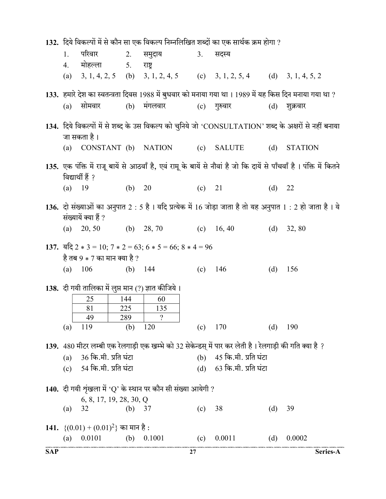|            | 132. दिये विकल्पों में से कौन सा एक विकल्प निम्नलिखित शब्दों का एक सार्थक क्रम होगा ? |                                                    |            |                                                                                   |     |                                                                                                          |     |                                                                                                                       |
|------------|---------------------------------------------------------------------------------------|----------------------------------------------------|------------|-----------------------------------------------------------------------------------|-----|----------------------------------------------------------------------------------------------------------|-----|-----------------------------------------------------------------------------------------------------------------------|
|            | 1.                                                                                    | परिवार                                             | 2.         | समुदाय                                                                            | 3.  | सदस्य                                                                                                    |     |                                                                                                                       |
|            | 4.                                                                                    | मोहल्ला 5.                                         |            | राष्ट्र                                                                           |     |                                                                                                          |     |                                                                                                                       |
|            | (a)                                                                                   |                                                    |            |                                                                                   |     | 3, 1, 4, 2, 5 (b) 3, 1, 2, 4, 5 (c) 3, 1, 2, 5, 4 (d) 3, 1, 4, 5, 2                                      |     |                                                                                                                       |
|            |                                                                                       |                                                    |            |                                                                                   |     | 133.  हमारे देश का स्वतन्त्रता दिवस 1988 में बुधवार को मनाया गया था । 1989 में यह किस दिन मनाया गया था ? |     |                                                                                                                       |
|            | (a)                                                                                   | सोमवार                                             | (b)        | मंगलवार                                                                           | (c) | गुरुवार                                                                                                  | (d) | शुक्रवार                                                                                                              |
|            |                                                                                       | जा सकता है।                                        |            |                                                                                   |     |                                                                                                          |     | 134. दिये विकल्पों में से शब्द के उस विकल्प को चुनिये जो 'CONSULTATION' शब्द के अक्षरों से नहीं बनाया                 |
|            | (a)                                                                                   |                                                    |            | CONSTANT (b) NATION                                                               |     | (c) SALUTE                                                                                               | (d) | <b>STATION</b>                                                                                                        |
|            |                                                                                       | विद्यार्थी हैं ?                                   |            |                                                                                   |     |                                                                                                          |     | 135. एक पंक्ति में राजू बायें से आठवाँ है, एवं रामू के बायें से नौवां है जो कि दायें से पाँचवाँ है । पंक्ति में कितने |
|            | $(a)$ 19                                                                              |                                                    | (b)        | 20                                                                                | (c) | 21                                                                                                       | (d) | 22                                                                                                                    |
|            |                                                                                       | संख्यायें क्या हैं ?                               |            |                                                                                   |     |                                                                                                          |     | 136. दो संख्याओं का अनुपात 2 : 5 है । यदि प्रत्येक में 16 जोड़ा जाता है तो यह अनुपात 1 : 2 हो जाता है । ये            |
|            |                                                                                       | (a) $20, 50$                                       |            | (b) 28, 70<br>(c) 16, 40                                                          |     |                                                                                                          | (d) | 32, 80                                                                                                                |
|            |                                                                                       |                                                    |            | 137. $\overline{4}$ and $2 * 3 = 10$ ; $7 * 2 = 63$ ; $6 * 5 = 66$ ; $8 * 4 = 96$ |     |                                                                                                          |     |                                                                                                                       |
|            |                                                                                       | है तब 9 $*$ 7 का मान क्या है ?                     |            |                                                                                   |     |                                                                                                          |     |                                                                                                                       |
|            | (a)                                                                                   | 106                                                | (b) $144$  |                                                                                   |     | (c) $146$                                                                                                | (d) | 156                                                                                                                   |
|            |                                                                                       | 138. दी गयी तालिका में लुप्त मान (?) ज्ञात कीजिये। |            |                                                                                   |     |                                                                                                          |     |                                                                                                                       |
|            |                                                                                       | 25                                                 | 144        | 60                                                                                |     |                                                                                                          |     |                                                                                                                       |
|            |                                                                                       | 81                                                 | 225        | 135                                                                               |     |                                                                                                          |     |                                                                                                                       |
|            | (a)                                                                                   | 49<br>119                                          | 289<br>(b) | $\overline{?}$<br>120                                                             | (c) | 170                                                                                                      | (d) | 190                                                                                                                   |
|            |                                                                                       |                                                    |            |                                                                                   |     | 139. 480 मीटर लम्बी एक रेलगाड़ी एक खम्भे को 32 सेकेन्डस् में पार कर लेती है। रेलगाड़ी की गति क्या है ?   |     |                                                                                                                       |
|            | (a)                                                                                   | 36 कि.मी. प्रति घंटा                               |            |                                                                                   |     | (b) 45 कि.मी. प्रति घंटा                                                                                 |     |                                                                                                                       |
|            |                                                                                       | (c) 54 कि.मी. प्रति घंटा                           |            |                                                                                   |     | (d) 63 कि.मी. प्रति घंटा                                                                                 |     |                                                                                                                       |
|            |                                                                                       |                                                    |            | 140. दी गयी शृंखला में 'Q' के स्थान पर कौन सी संख्या आयेगी ?                      |     |                                                                                                          |     |                                                                                                                       |
|            |                                                                                       | 6, 8, 17, 19, 28, 30, Q                            |            |                                                                                   |     |                                                                                                          |     |                                                                                                                       |
|            | (a)                                                                                   | 32                                                 | (b)        | 37                                                                                | (c) | 38                                                                                                       | (d) | 39                                                                                                                    |
|            |                                                                                       | 141. $\{(0.01) + (0.01)^2\}$ का मान है:            |            |                                                                                   |     |                                                                                                          |     |                                                                                                                       |
|            | (a)                                                                                   | 0.0101                                             | (b)        | 0.1001                                                                            | (c) | 0.0011                                                                                                   | (d) | 0.0002                                                                                                                |
| <b>SAP</b> |                                                                                       |                                                    |            |                                                                                   | 27  |                                                                                                          |     | Series-A                                                                                                              |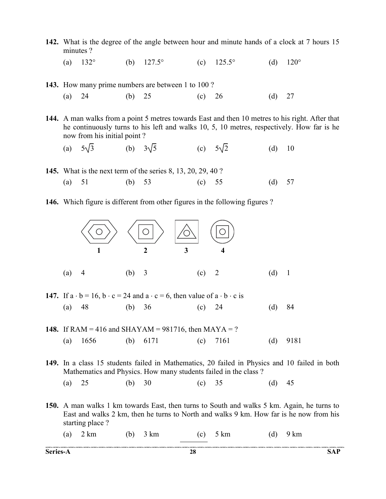- 142. What is the degree of the angle between hour and minute hands of a clock at 7 hours 15 minutes ?
- (a)  $132^{\circ}$  (b)  $127.5^{\circ}$  (c)  $125.5^{\circ}$  (d)  $120^{\circ}$

143. How many prime numbers are between 1 to 100? (a) 24 (b) 25 (c) 26 (d) 27

144. A man walks from a point 5 metres towards East and then 10 metres to his right. After that he continuously turns to his left and walks 10, 5, 10 metres, respectively. How far is he now from his initial point ?

(a) 
$$
5\sqrt{3}
$$
 (b)  $3\sqrt{5}$  (c)  $5\sqrt{2}$  (d) 10

- 145. What is the next term of the series 8, 13, 20, 29, 40 ?
- (a) 51 (b) 53 (c) 55 (d) 57
- 146. Which figure is different from other figures in the following figures ?



- 147. If  $a \cdot b = 16$ ,  $b \cdot c = 24$  and  $a \cdot c = 6$ , then value of  $a \cdot b \cdot c$  is (a) 48 (b) 36 (c) 24 (d) 84
- **148.** If RAM = 416 and SHAYAM = 981716, then MAYA = ? (a) 1656 (b) 6171 (c) 7161 (d) 9181

149. In a class 15 students failed in Mathematics, 20 failed in Physics and 10 failed in both Mathematics and Physics. How many students failed in the class ?

(a) 25 (b) 30 (c) 35 (d) 45

150. A man walks 1 km towards East, then turns to South and walks 5 km. Again, he turns to East and walks 2 km, then he turns to North and walks 9 km. How far is he now from his starting place ?

(a) 2 km (b) 3 km (c) 5 km (d) 9 km